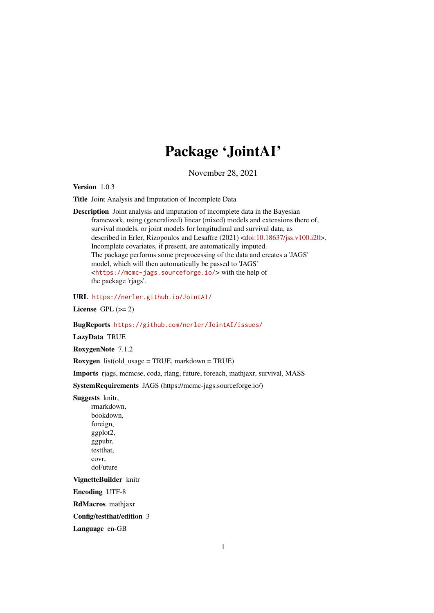## Package 'JointAI'

November 28, 2021

<span id="page-0-0"></span>Version 1.0.3

Title Joint Analysis and Imputation of Incomplete Data

Description Joint analysis and imputation of incomplete data in the Bayesian framework, using (generalized) linear (mixed) models and extensions there of, survival models, or joint models for longitudinal and survival data, as described in Erler, Rizopoulos and Lesaffre (2021) [<doi:10.18637/jss.v100.i20>](https://doi.org/10.18637/jss.v100.i20). Incomplete covariates, if present, are automatically imputed. The package performs some preprocessing of the data and creates a 'JAGS' model, which will then automatically be passed to 'JAGS' <<https://mcmc-jags.sourceforge.io/>> with the help of the package 'rjags'.

URL <https://nerler.github.io/JointAI/>

License GPL  $(>= 2)$ 

BugReports <https://github.com/nerler/JointAI/issues/>

LazyData TRUE

RoxygenNote 7.1.2

**Roxygen** list(old\_usage = TRUE, markdown = TRUE)

Imports rjags, mcmcse, coda, rlang, future, foreach, mathjaxr, survival, MASS

SystemRequirements JAGS (https://mcmc-jags.sourceforge.io/)

Suggests knitr,

rmarkdown, bookdown, foreign, ggplot2, ggpubr, testthat, covr, doFuture

VignetteBuilder knitr

Encoding UTF-8

RdMacros mathjaxr

Config/testthat/edition 3

Language en-GB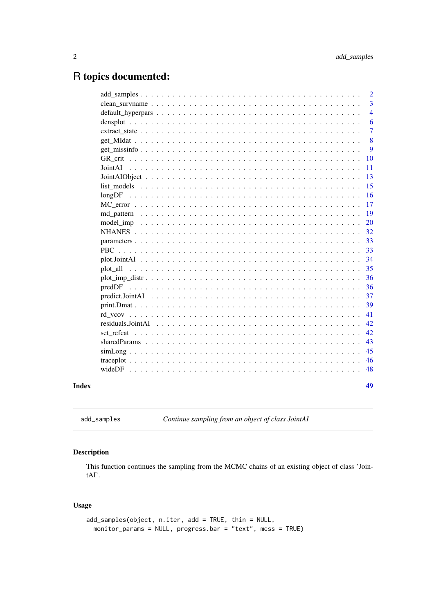## <span id="page-1-0"></span>R topics documented:

|  | $\overline{2}$ |
|--|----------------|
|  | $\overline{3}$ |
|  | $\overline{4}$ |
|  | 6              |
|  | $\overline{7}$ |
|  | 8              |
|  | 9              |
|  | <b>10</b>      |
|  | 11             |
|  | 13             |
|  | 15             |
|  | 16             |
|  | 17             |
|  | 19             |
|  | <b>20</b>      |
|  | 32             |
|  | 33             |
|  | 33             |
|  | 34             |
|  | 35             |
|  | 36             |
|  | 36             |
|  | 37             |
|  | 39             |
|  | 41             |
|  | 42             |
|  | 42             |
|  | 43             |
|  | 45             |
|  | 46             |
|  | 48             |
|  | 49             |

```
add_samples Continue sampling from an object of class JointAI
```
### Description

This function continues the sampling from the MCMC chains of an existing object of class 'JointAI'.

### Usage

```
add_samples(object, n.iter, add = TRUE, thin = NULL,
 monitor_params = NULL, progress.bar = "text", mess = TRUE)
```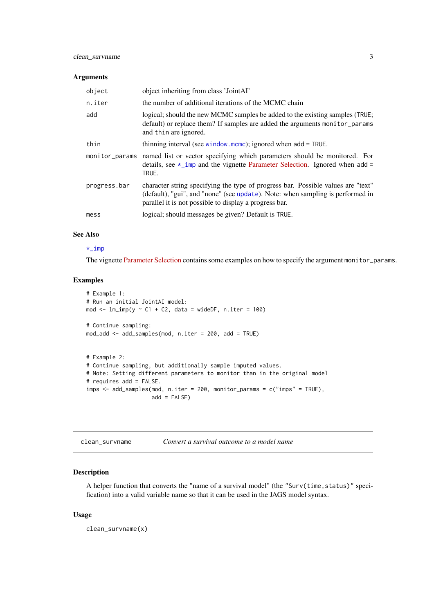### <span id="page-2-0"></span>Arguments

| object       | object inheriting from class 'JointAI'                                                                                                                                                                                       |
|--------------|------------------------------------------------------------------------------------------------------------------------------------------------------------------------------------------------------------------------------|
| n.iter       | the number of additional iterations of the MCMC chain                                                                                                                                                                        |
| add          | logical; should the new MCMC samples be added to the existing samples (TRUE;<br>default) or replace them? If samples are added the arguments monitor_params<br>and thin are ignored.                                         |
| thin         | thinning interval (see window $m$ cmc); ignored when add = TRUE.                                                                                                                                                             |
|              | monitor params named list or vector specifying which parameters should be monitored. For<br>details, see $\star$ _imp and the vignette Parameter Selection. Ignored when add =<br>TRUE.                                      |
| progress.bar | character string specifying the type of progress bar. Possible values are "text"<br>(default), "gui", and "none" (see update). Note: when sampling is performed in<br>parallel it is not possible to display a progress bar. |
| mess         | logical; should messages be given? Default is TRUE.                                                                                                                                                                          |

### See Also

#### [\\*\\_imp](#page-0-0)

The vignette [Parameter Selection](https://nerler.github.io/JointAI/articles/SelectingParameters.html) contains some examples on how to specify the argument monitor\_params.

### Examples

```
# Example 1:
# Run an initial JointAI model:
mod \le \text{lm}\_\text{imp}(y \sim C1 + C2, \text{ data} = \text{wideDF}, \text{ n.iter} = 100)# Continue sampling:
mod_add <- add_samples(mod, n.iter = 200, add = TRUE)
# Example 2:
# Continue sampling, but additionally sample imputed values.
# Note: Setting different parameters to monitor than in the original model
# requires add = FALSE.
imps <- add_samples(mod, n.iter = 200, monitor_params = c("imps" = TRUE),
                     add = FALSE)
```

| clean_survname |  | Convert a survival outcome to a model name |  |
|----------------|--|--------------------------------------------|--|
|----------------|--|--------------------------------------------|--|

#### Description

A helper function that converts the "name of a survival model" (the "Surv(time, status)" specification) into a valid variable name so that it can be used in the JAGS model syntax.

### Usage

clean\_survname(x)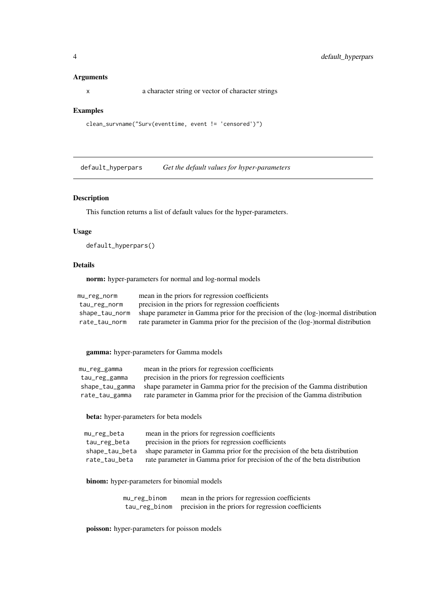### <span id="page-3-0"></span>Arguments

x a character string or vector of character strings

#### Examples

```
clean_survname("Surv(eventtime, event != 'censored')")
```
<span id="page-3-1"></span>default\_hyperpars *Get the default values for hyper-parameters*

### Description

This function returns a list of default values for the hyper-parameters.

### Usage

default\_hyperpars()

#### Details

norm: hyper-parameters for normal and log-normal models

| mu_reg_norm    | mean in the priors for regression coefficients                                    |
|----------------|-----------------------------------------------------------------------------------|
| tau_reg_norm   | precision in the priors for regression coefficients                               |
| shape_tau_norm | shape parameter in Gamma prior for the precision of the (log-)normal distribution |
| rate tau norm  | rate parameter in Gamma prior for the precision of the (log-)normal distribution  |

gamma: hyper-parameters for Gamma models

| mu_reg_gamma    | mean in the priors for regression coefficients                             |
|-----------------|----------------------------------------------------------------------------|
| tau_reg_gamma   | precision in the priors for regression coefficients                        |
| shape_tau_gamma | shape parameter in Gamma prior for the precision of the Gamma distribution |
| rate_tau_gamma  | rate parameter in Gamma prior for the precision of the Gamma distribution  |

beta: hyper-parameters for beta models

| mu_reg_beta    | mean in the priors for regression coefficients                              |
|----------------|-----------------------------------------------------------------------------|
| tau_reg_beta   | precision in the priors for regression coefficients                         |
| shape tau beta | shape parameter in Gamma prior for the precision of the beta distribution   |
| rate_tau_beta  | rate parameter in Gamma prior for precision of the of the beta distribution |

binom: hyper-parameters for binomial models

| mu_reg_binom | mean in the priors for regression coefficients                    |
|--------------|-------------------------------------------------------------------|
|              | tau_reg_binom precision in the priors for regression coefficients |

poisson: hyper-parameters for poisson models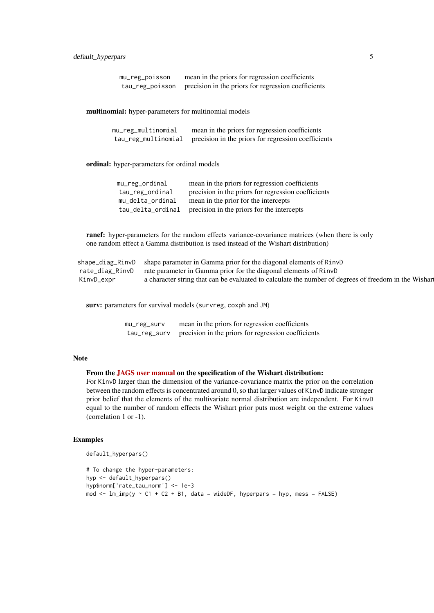| mu_reg_poisson | mean in the priors for regression coefficients                      |
|----------------|---------------------------------------------------------------------|
|                | tau_reg_poisson precision in the priors for regression coefficients |

multinomial: hyper-parameters for multinomial models

| mu_reg_multinomial  | mean in the priors for regression coefficients      |
|---------------------|-----------------------------------------------------|
| tau_reg_multinomial | precision in the priors for regression coefficients |

ordinal: hyper-parameters for ordinal models

| mean in the priors for regression coefficients      |
|-----------------------------------------------------|
| precision in the priors for regression coefficients |
| mean in the prior for the intercepts                |
| precision in the priors for the intercepts          |
|                                                     |

ranef: hyper-parameters for the random effects variance-covariance matrices (when there is only one random effect a Gamma distribution is used instead of the Wishart distribution)

|            | shape_diag_RinvD shape parameter in Gamma prior for the diagonal elements of RinvD                    |  |
|------------|-------------------------------------------------------------------------------------------------------|--|
|            | rate_diag_RinvD rate parameter in Gamma prior for the diagonal elements of RinvD                      |  |
| KinvD_expr | a character string that can be evaluated to calculate the number of degrees of freedom in the Wishard |  |

surv: parameters for survival models (survreg, coxph and JM)

| mu_reg_surv  | mean in the priors for regression coefficients      |
|--------------|-----------------------------------------------------|
| tau_reg_surv | precision in the priors for regression coefficients |

### Note

### From the [JAGS user manual](https://sourceforge.net/projects/mcmc-jags/files/Manuals/) on the specification of the Wishart distribution:

For KinvD larger than the dimension of the variance-covariance matrix the prior on the correlation between the random effects is concentrated around 0, so that larger values of KinvD indicate stronger prior belief that the elements of the multivariate normal distribution are independent. For KinvD equal to the number of random effects the Wishart prior puts most weight on the extreme values (correlation 1 or -1).

#### Examples

```
default_hyperpars()
```

```
# To change the hyper-parameters:
hyp <- default_hyperpars()
hyp$norm['rate_tau_norm'] <- 1e-3
\frac{1}{2} mod <- \text{lm}\_\text{imp}(y \sim C1 + C2 + B1, \text{ data} = \text{wideDF}, \text{ hyperpars} = \text{hyp}, \text{ mess} = \text{FALSE}
```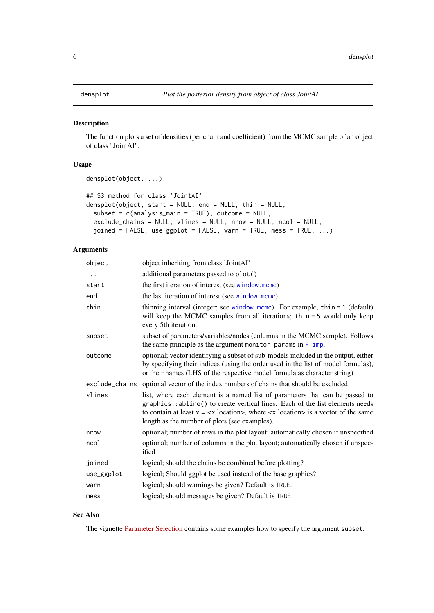<span id="page-5-1"></span><span id="page-5-0"></span>

### Description

The function plots a set of densities (per chain and coefficient) from the MCMC sample of an object of class "JointAI".

### Usage

```
densplot(object, ...)
## S3 method for class 'JointAI'
densplot(object, start = NULL, end = NULL, thin = NULL,
 subset = c(analysis_main = TRUE), outcome = NULL,
 exclude_chains = NULL, vlines = NULL, nrow = NULL, ncol = NULL,
 joined = FALSE, use_ggplot = FALSE, warn = TRUE, mess = TRUE, ...)
```
### Arguments

| object         | object inheriting from class 'JointAI'                                                                                                                                                                                                                                                                                                                       |
|----------------|--------------------------------------------------------------------------------------------------------------------------------------------------------------------------------------------------------------------------------------------------------------------------------------------------------------------------------------------------------------|
| .              | additional parameters passed to plot()                                                                                                                                                                                                                                                                                                                       |
| start          | the first iteration of interest (see window.mcmc)                                                                                                                                                                                                                                                                                                            |
| end            | the last iteration of interest (see window.mcmc)                                                                                                                                                                                                                                                                                                             |
| thin           | thinning interval (integer; see window mcmc). For example, thin $= 1$ (default)<br>will keep the MCMC samples from all iterations; thin = 5 would only keep<br>every 5th iteration.                                                                                                                                                                          |
| subset         | subset of parameters/variables/nodes (columns in the MCMC sample). Follows<br>the same principle as the argument monitor_params in $\star$ _imp.                                                                                                                                                                                                             |
| outcome        | optional; vector identifying a subset of sub-models included in the output, either<br>by specifying their indices (using the order used in the list of model formulas),<br>or their names (LHS of the respective model formula as character string)                                                                                                          |
| exclude_chains | optional vector of the index numbers of chains that should be excluded                                                                                                                                                                                                                                                                                       |
|                |                                                                                                                                                                                                                                                                                                                                                              |
| vlines         | list, where each element is a named list of parameters that can be passed to<br>graphics::abline() to create vertical lines. Each of the list elements needs<br>to contain at least $v = \langle x \cdot \text{location} \rangle$ , where $\langle x \cdot \text{location} \rangle$ is a vector of the same<br>length as the number of plots (see examples). |
| nrow           | optional; number of rows in the plot layout; automatically chosen if unspecified                                                                                                                                                                                                                                                                             |
| ncol           | optional; number of columns in the plot layout; automatically chosen if unspec-<br>ified                                                                                                                                                                                                                                                                     |
| joined         | logical; should the chains be combined before plotting?                                                                                                                                                                                                                                                                                                      |
| use_ggplot     | logical; Should ggplot be used instead of the base graphics?                                                                                                                                                                                                                                                                                                 |
| warn           | logical; should warnings be given? Default is TRUE.                                                                                                                                                                                                                                                                                                          |

### See Also

The vignette [Parameter Selection](https://nerler.github.io/JointAI/articles/SelectingParameters.html) contains some examples how to specify the argument subset.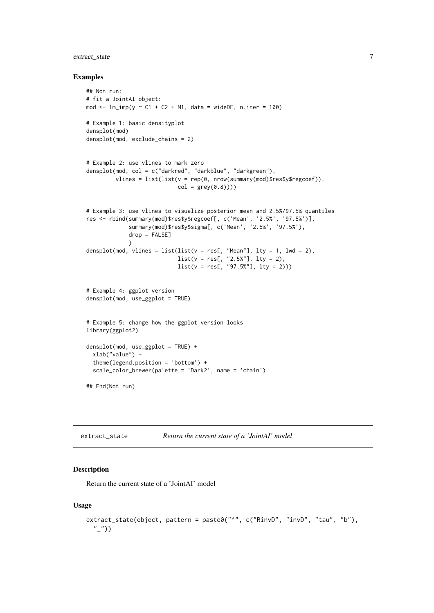### <span id="page-6-0"></span>extract\_state 7

#### Examples

```
## Not run:
# fit a JointAI object:
mod \le - lm\{imp}(y \sim C1 + C2 + M1, data = wideDF, n.iter = 100)
# Example 1: basic densityplot
densplot(mod)
densplot(mod, exclude_chains = 2)
# Example 2: use vlines to mark zero
densplot(mod, col = c("darkred", "darkblue", "darkgreen"),
         vlines = list(list(v = rep(0, nrow(summary(mod)$res$y$regcoef)),
                            col = grey(0.8))))# Example 3: use vlines to visualize posterior mean and 2.5%/97.5% quantiles
res <- rbind(summary(mod)$res$y$regcoef[, c('Mean', '2.5%', '97.5%')],
             summary(mod)$res$y$sigma[, c('Mean', '2.5%', '97.5%'),
             drop = FALSE]
             \lambdadensplot(mod, vlines = list(list(v = res[, "Mean"], Ity = 1, lwd = 2),list(v = res[, "2.5\%"], lty = 2),
                             list(v = res[, "97.5%], lty = 2))# Example 4: ggplot version
densplot(mod, use_ggplot = TRUE)
# Example 5: change how the ggplot version looks
library(ggplot2)
densplot(mod, use_ggplot = TRUE) +
  xlab("value") +
  theme(legend.position = 'bottom') +
  scale_color_brewer(palette = 'Dark2', name = 'chain')
## End(Not run)
```

| extract_state | Return the current state of a 'JointAI' model |
|---------------|-----------------------------------------------|
|---------------|-----------------------------------------------|

#### Description

Return the current state of a 'JointAI' model

### Usage

```
extract_state(object, pattern = paste0("^", c("RinvD", "invD", "tau", "b"),
 "_"))
```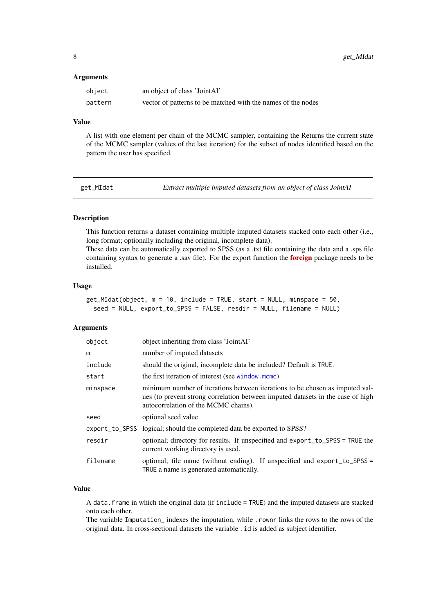#### <span id="page-7-0"></span>Arguments

| object  | an object of class 'JointAI'                                 |
|---------|--------------------------------------------------------------|
| pattern | vector of patterns to be matched with the names of the nodes |

#### Value

A list with one element per chain of the MCMC sampler, containing the Returns the current state of the MCMC sampler (values of the last iteration) for the subset of nodes identified based on the pattern the user has specified.

<span id="page-7-1"></span>get\_MIdat *Extract multiple imputed datasets from an object of class JointAI*

### Description

This function returns a dataset containing multiple imputed datasets stacked onto each other (i.e., long format; optionally including the original, incomplete data).

These data can be automatically exported to SPSS (as a .txt file containing the data and a .sps file containing syntax to generate a .sav file). For the export function the **[foreign](https://CRAN.R-project.org/package=foreign)** package needs to be installed.

#### Usage

```
get_MIdat(object, m = 10, include = TRUE, start = NULL, minspace = 50,
  seed = NULL, export_to_SPSS = FALSE, resdir = NULL, filename = NULL)
```
#### Arguments

| object   | object inheriting from class 'JointAI'                                                                                                                                                                  |
|----------|---------------------------------------------------------------------------------------------------------------------------------------------------------------------------------------------------------|
| m        | number of imputed datasets                                                                                                                                                                              |
| include  | should the original, incomplete data be included? Default is TRUE.                                                                                                                                      |
| start    | the first iteration of interest (see window.mcmc)                                                                                                                                                       |
| minspace | minimum number of iterations between iterations to be chosen as imputed val-<br>ues (to prevent strong correlation between imputed datasets in the case of high<br>autocorrelation of the MCMC chains). |
| seed     | optional seed value                                                                                                                                                                                     |
|          | export_to_SPSS logical; should the completed data be exported to SPSS?                                                                                                                                  |
| resdir   | optional; directory for results. If unspecified and export_to_SPSS = TRUE the<br>current working directory is used.                                                                                     |
| filename | optional; file name (without ending). If unspecified and export_to_SPSS =<br>TRUE a name is generated automatically.                                                                                    |

### Value

A data.frame in which the original data (if include = TRUE) and the imputed datasets are stacked onto each other.

The variable Imputation\_ indexes the imputation, while .rownr links the rows to the rows of the original data. In cross-sectional datasets the variable .id is added as subject identifier.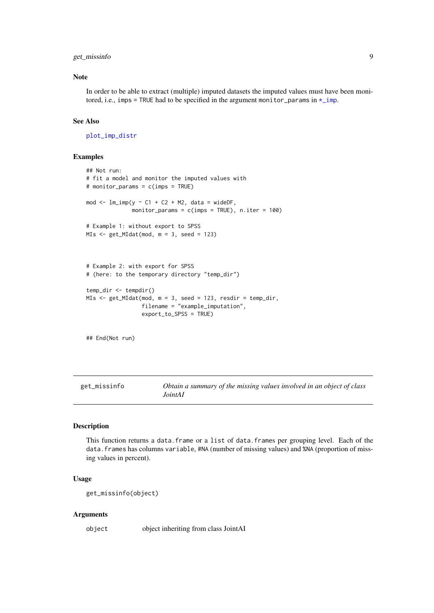#### <span id="page-8-0"></span>get\_missinfo 9

#### Note

In order to be able to extract (multiple) imputed datasets the imputed values must have been monitored, i.e., imps = TRUE had to be specified in the argument monitor\_params in  $\star$ \_imp.

### See Also

[plot\\_imp\\_distr](#page-35-1)

### Examples

```
## Not run:
# fit a model and monitor the imputed values with
# monitor_params = c(imps = TRUE)
mod \leq -\lim_{n \to \infty} (y \sim C1 + C2 + M2, \text{data} = \text{wideDF},monitor_params = c(imps = TRUE), n.iter = 100)
# Example 1: without export to SPSS
MIs <- get_MIdat(mod, m = 3, seed = 123)
# Example 2: with export for SPSS
# (here: to the temporary directory "temp_dir")
temp_dir <- tempdir()
MIs <- get_MIdat(mod, m = 3, seed = 123, resdir = temp_dir,
                  filename = "example_imputation",
                  export_to_SPSS = TRUE)
```
## End(Not run)

get\_missinfo *Obtain a summary of the missing values involved in an object of class JointAI*

### Description

This function returns a data.frame or a list of data.frames per grouping level. Each of the data.frames has columns variable, #NA (number of missing values) and %NA (proportion of missing values in percent).

### Usage

get\_missinfo(object)

### Arguments

object object inheriting from class JointAI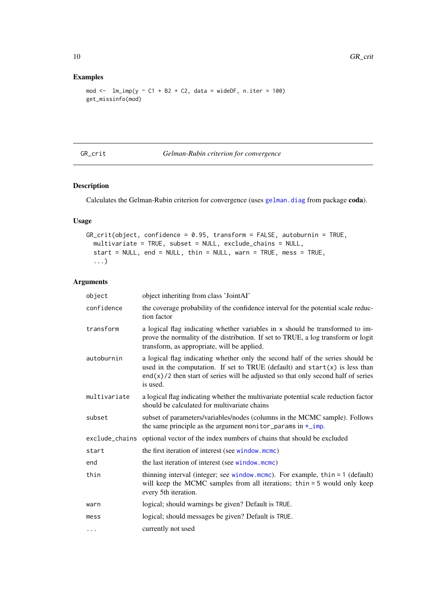### Examples

```
mod \le \ln\imp(y \sim C1 + B2 + C2, data = wideDF, n.iter = 100)
get_missinfo(mod)
```
<span id="page-9-1"></span>GR\_crit *Gelman-Rubin criterion for convergence*

### Description

Calculates the Gelman-Rubin criterion for convergence (uses [gelman.diag](#page-0-0) from package coda).

### Usage

```
GR_crit(object, confidence = 0.95, transform = FALSE, autoburnin = TRUE,
  multivariate = TRUE, subset = NULL, exclude_chains = NULL,
  start = NULL, end = NULL, thin = NULL, warn = TRUE, mess = TRUE,
  ...)
```
### Arguments

| object       | object inheriting from class 'JointAI'                                                                                                                                                                                                                             |
|--------------|--------------------------------------------------------------------------------------------------------------------------------------------------------------------------------------------------------------------------------------------------------------------|
| confidence   | the coverage probability of the confidence interval for the potential scale reduc-<br>tion factor                                                                                                                                                                  |
| transform    | a logical flag indicating whether variables in x should be transformed to im-<br>prove the normality of the distribution. If set to TRUE, a log transform or logit<br>transform, as appropriate, will be applied.                                                  |
| autoburnin   | a logical flag indicating whether only the second half of the series should be<br>used in the computation. If set to TRUE (default) and $start(x)$ is less than<br>$end(x)/2$ then start of series will be adjusted so that only second half of series<br>is used. |
| multivariate | a logical flag indicating whether the multivariate potential scale reduction factor<br>should be calculated for multivariate chains                                                                                                                                |
| subset       | subset of parameters/variables/nodes (columns in the MCMC sample). Follows<br>the same principle as the argument monitor_params in $\star$ _imp.                                                                                                                   |
|              | exclude_chains optional vector of the index numbers of chains that should be excluded                                                                                                                                                                              |
| start        | the first iteration of interest (see window.mcmc)                                                                                                                                                                                                                  |
| end          | the last iteration of interest (see window.mcmc)                                                                                                                                                                                                                   |
| thin         | thinning interval (integer; see window mcmc). For example, thin $= 1$ (default)<br>will keep the MCMC samples from all iterations; thin = 5 would only keep<br>every 5th iteration.                                                                                |
| warn         | logical; should warnings be given? Default is TRUE.                                                                                                                                                                                                                |
| mess         | logical; should messages be given? Default is TRUE.                                                                                                                                                                                                                |
| $\cdots$     | currently not used                                                                                                                                                                                                                                                 |

<span id="page-9-0"></span>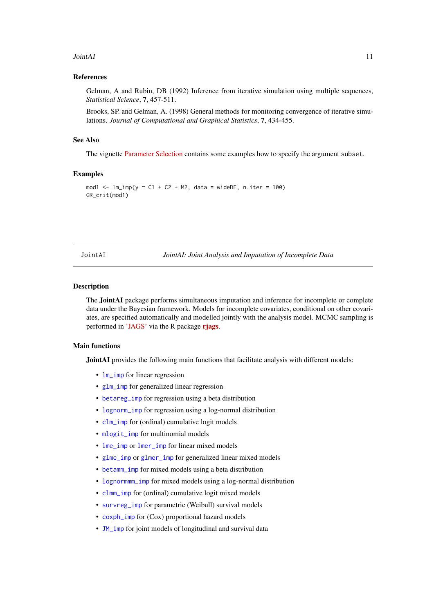#### <span id="page-10-0"></span>JointAI 11

#### References

Gelman, A and Rubin, DB (1992) Inference from iterative simulation using multiple sequences, *Statistical Science*, 7, 457-511.

Brooks, SP. and Gelman, A. (1998) General methods for monitoring convergence of iterative simulations. *Journal of Computational and Graphical Statistics*, 7, 434-455.

### See Also

The vignette [Parameter Selection](https://nerler.github.io/JointAI/articles/SelectingParameters.html) contains some examples how to specify the argument subset.

### Examples

```
mod1 <- lm\text{-}imp(y \sim C1 + C2 + M2, data = wideDF, n.iter = 100)
GR_crit(mod1)
```
JointAI *JointAI: Joint Analysis and Imputation of Incomplete Data*

### Description

The JointAI package performs simultaneous imputation and inference for incomplete or complete data under the Bayesian framework. Models for incomplete covariates, conditional on other covariates, are specified automatically and modelled jointly with the analysis model. MCMC sampling is performed in ['JAGS'](https://mcmc-jags.sourceforge.io/) via the R package [rjags](https://CRAN.R-project.org/package=rjags).

### Main functions

JointAI provides the following main functions that facilitate analysis with different models:

- **[lm\\_imp](#page-19-1)** for linear regression
- [glm\\_imp](#page-19-1) for generalized linear regression
- [betareg\\_imp](#page-19-1) for regression using a beta distribution
- [lognorm\\_imp](#page-19-1) for regression using a log-normal distribution
- [clm\\_imp](#page-19-1) for (ordinal) cumulative logit models
- [mlogit\\_imp](#page-19-1) for multinomial models
- [lme\\_imp](#page-19-1) or [lmer\\_imp](#page-19-1) for linear mixed models
- [glme\\_imp](#page-19-1) or [glmer\\_imp](#page-19-1) for generalized linear mixed models
- [betamm\\_imp](#page-19-1) for mixed models using a beta distribution
- [lognormmm\\_imp](#page-19-1) for mixed models using a log-normal distribution
- [clmm\\_imp](#page-19-1) for (ordinal) cumulative logit mixed models
- [survreg\\_imp](#page-19-1) for parametric (Weibull) survival models
- [coxph\\_imp](#page-19-1) for (Cox) proportional hazard models
- [JM\\_imp](#page-19-1) for joint models of longitudinal and survival data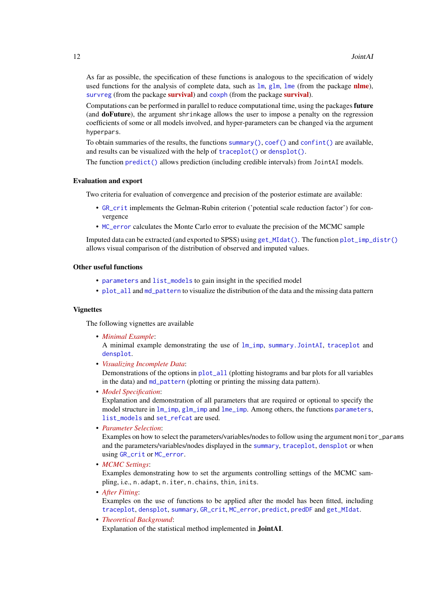<span id="page-11-0"></span>As far as possible, the specification of these functions is analogous to the specification of widely used functions for the analysis of complete data, such as  $\text{lm}$  $\text{lm}$  $\text{lm}$ ,  $\text{lm}$ ,  $\text{lm}$ , (from the package n[lme](#page-0-0)), [survreg](#page-0-0) (from the package [survival](https://CRAN.R-project.org/package=survival)) and [coxph](#page-0-0) (from the package survival).

Computations can be performed in parallel to reduce computational time, using the packages future (and doFuture), the argument shrinkage allows the user to impose a penalty on the regression coefficients of some or all models involved, and hyper-parameters can be changed via the argument hyperpars.

To obtain summaries of the results, the functions [summary\(\)](#page-0-0),  $\text{coef}$ () and [confint\(\)](#page-0-0) are available, and results can be visualized with the help of [traceplot\(\)](#page-0-0) or [densplot\(\)](#page-0-0).

The function [predict\(\)](#page-0-0) allows prediction (including credible intervals) from JointAI models.

### Evaluation and export

Two criteria for evaluation of convergence and precision of the posterior estimate are available:

- [GR\\_crit](#page-9-1) implements the Gelman-Rubin criterion ('potential scale reduction factor') for convergence
- [MC\\_error](#page-16-1) calculates the Monte Carlo error to evaluate the precision of the MCMC sample

Imputed data can be extracted (and exported to SPSS) using [get\\_MIdat\(\)](#page-0-0). The function [plot\\_imp\\_distr\(\)](#page-0-0) allows visual comparison of the distribution of observed and imputed values.

### Other useful functions

- [parameters](#page-32-1) and [list\\_models](#page-14-1) to gain insight in the specified model
- [plot\\_all](#page-34-1) and [md\\_pattern](#page-18-1) to visualize the distribution of the data and the missing data pattern

#### Vignettes

The following vignettes are available

• *[Minimal Example](https://nerler.github.io/JointAI/articles/MinimalExample.html)*:

A minimal example demonstrating the use of [lm\\_imp](#page-19-1), [summary.JointAI](#page-38-1), [traceplot](#page-45-1) and [densplot](#page-5-1).

• *[Visualizing Incomplete Data](https://nerler.github.io/JointAI/articles/VisualizingIncompleteData.html)*:

Demonstrations of the options in [plot\\_all](#page-34-1) (plotting histograms and bar plots for all variables in the data) and [md\\_pattern](#page-18-1) (plotting or printing the missing data pattern).

• *[Model Specification](https://nerler.github.io/JointAI/articles/ModelSpecification.html)*:

Explanation and demonstration of all parameters that are required or optional to specify the model structure in  $lm\$ {lm\mu} g[lm\\_imp](#page-19-1) and [lme\\_imp](#page-19-1). Among others, the functions [parameters](#page-32-1), [list\\_models](#page-14-1) and [set\\_refcat](#page-41-1) are used.

• *[Parameter Selection](https://nerler.github.io/JointAI/articles/SelectingParameters.html)*:

Examples on how to select the parameters/variables/nodes to follow using the argument monitor\_params and the parameters/variables/nodes displayed in the [summary](#page-0-0), [traceplot](#page-45-1), [densplot](#page-5-1) or when using [GR\\_crit](#page-9-1) or [MC\\_error](#page-16-1).

• *[MCMC Settings](https://nerler.github.io/JointAI/articles/MCMCsettings.html)*:

Examples demonstrating how to set the arguments controlling settings of the MCMC sampling, i.e., n.adapt, n.iter, n.chains, thin, inits.

- *[After Fitting](https://nerler.github.io/JointAI/articles/AfterFitting.html)*: Examples on the use of functions to be applied after the model has been fitted, including [traceplot](#page-45-1), [densplot](#page-5-1), [summary](#page-0-0), [GR\\_crit](#page-9-1), [MC\\_error](#page-16-1), [predict](#page-0-0), [predDF](#page-35-2) and [get\\_MIdat](#page-7-1).
- *[Theoretical Background](https://nerler.github.io/JointAI/articles/TheoreticalBackground.html)*: Explanation of the statistical method implemented in JointAI.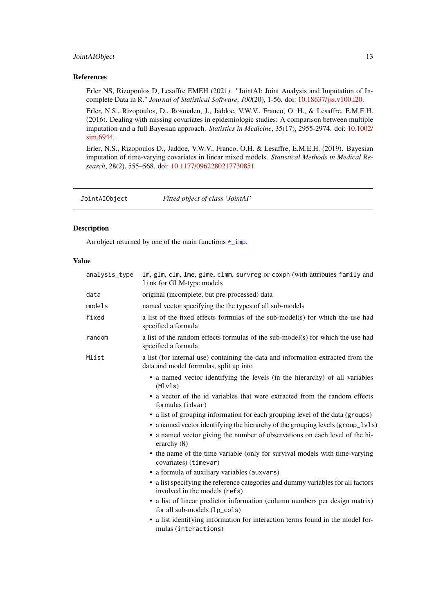#### <span id="page-12-0"></span>Joint AIObject 13

### References

Erler NS, Rizopoulos D, Lesaffre EMEH (2021). "JointAI: Joint Analysis and Imputation of Incomplete Data in R." *Journal of Statistical Software*, *100*(20), 1-56. doi: [10.18637/jss.v100.i20.](https://doi.org/10.18637/jss.v100.i20)

Erler, N.S., Rizopoulos, D., Rosmalen, J., Jaddoe, V.W.V., Franco, O. H., & Lesaffre, E.M.E.H. (2016). Dealing with missing covariates in epidemiologic studies: A comparison between multiple imputation and a full Bayesian approach. *Statistics in Medicine*, 35(17), 2955-2974. doi: [10.1002/](https://doi.org/10.1002/sim.6944) [sim.6944](https://doi.org/10.1002/sim.6944)

Erler, N.S., Rizopoulos D., Jaddoe, V.W.V., Franco, O.H. & Lesaffre, E.M.E.H. (2019). Bayesian imputation of time-varying covariates in linear mixed models. *Statistical Methods in Medical Research*, 28(2), 555–568. doi: [10.1177/0962280217730851](https://doi.org/10.1177/0962280217730851)

<span id="page-12-1"></span>JointAIObject *Fitted object of class 'JointAI'*

#### Description

An object returned by one of the main functions  $\star$ \_imp.

### Value

| analysis_type | lm, glm, clm, lme, glme, clmm, survreg or coxph (with attributes family and<br>link for GLM-type models                                                                                                                                                       |
|---------------|---------------------------------------------------------------------------------------------------------------------------------------------------------------------------------------------------------------------------------------------------------------|
| data          | original (incomplete, but pre-processed) data                                                                                                                                                                                                                 |
| models        | named vector specifying the the types of all sub-models                                                                                                                                                                                                       |
| fixed         | a list of the fixed effects formulas of the sub-model(s) for which the use had<br>specified a formula                                                                                                                                                         |
| random        | a list of the random effects formulas of the sub-model(s) for which the use had<br>specified a formula                                                                                                                                                        |
| Mlist         | a list (for internal use) containing the data and information extracted from the<br>data and model formulas, split up into                                                                                                                                    |
|               | • a named vector identifying the levels (in the hierarchy) of all variables<br>(Mlyls)                                                                                                                                                                        |
|               | • a vector of the id variables that were extracted from the random effects<br>formulas (idvar)                                                                                                                                                                |
|               | • a list of grouping information for each grouping level of the data (groups)<br>• a named vector identifying the hierarchy of the grouping levels (group_lvls)<br>• a named vector giving the number of observations on each level of the hi-<br>erarchy (N) |
|               | • the name of the time variable (only for survival models with time-varying<br>covariates) (timevar)                                                                                                                                                          |
|               | • a formula of auxiliary variables (auxvars)                                                                                                                                                                                                                  |
|               | • a list specifying the reference categories and dummy variables for all factors<br>involved in the models (refs)                                                                                                                                             |
|               | • a list of linear predictor information (column numbers per design matrix)<br>for all sub-models (1p_co1s)                                                                                                                                                   |
|               | • a list identifying information for interaction terms found in the model for-<br>mulas (interactions)                                                                                                                                                        |
|               |                                                                                                                                                                                                                                                               |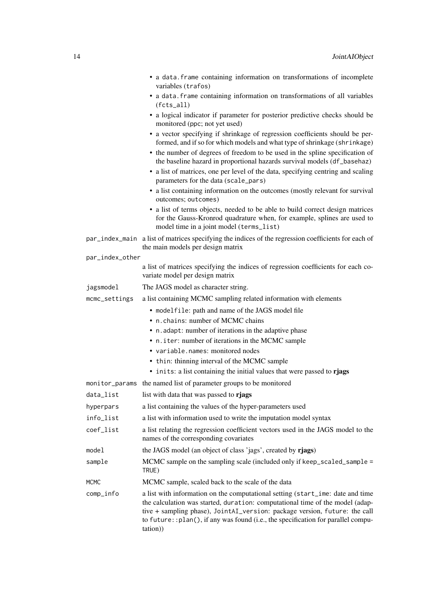|                 | • a data. frame containing information on transformations of incomplete<br>variables (trafos)                                                                                                                                                                                                                                                  |
|-----------------|------------------------------------------------------------------------------------------------------------------------------------------------------------------------------------------------------------------------------------------------------------------------------------------------------------------------------------------------|
|                 | • a data. frame containing information on transformations of all variables<br>$(fcts_all)$                                                                                                                                                                                                                                                     |
|                 | • a logical indicator if parameter for posterior predictive checks should be<br>monitored (ppc; not yet used)                                                                                                                                                                                                                                  |
|                 | • a vector specifying if shrinkage of regression coefficients should be per-<br>formed, and if so for which models and what type of shrinkage (shrinkage)                                                                                                                                                                                      |
|                 | • the number of degrees of freedom to be used in the spline specification of<br>the baseline hazard in proportional hazards survival models (df_basehaz)                                                                                                                                                                                       |
|                 | • a list of matrices, one per level of the data, specifying centring and scaling<br>parameters for the data (scale_pars)                                                                                                                                                                                                                       |
|                 | • a list containing information on the outcomes (mostly relevant for survival<br>outcomes; outcomes)                                                                                                                                                                                                                                           |
|                 | • a list of terms objects, needed to be able to build correct design matrices<br>for the Gauss-Kronrod quadrature when, for example, splines are used to<br>model time in a joint model (terms_list)                                                                                                                                           |
|                 | par_index_main a list of matrices specifying the indices of the regression coefficients for each of<br>the main models per design matrix                                                                                                                                                                                                       |
| par_index_other |                                                                                                                                                                                                                                                                                                                                                |
|                 | a list of matrices specifying the indices of regression coefficients for each co-<br>variate model per design matrix                                                                                                                                                                                                                           |
| jagsmodel       | The JAGS model as character string.                                                                                                                                                                                                                                                                                                            |
| mcmc_settings   | a list containing MCMC sampling related information with elements                                                                                                                                                                                                                                                                              |
|                 | • modelfile: path and name of the JAGS model file                                                                                                                                                                                                                                                                                              |
|                 | • n.chains: number of MCMC chains                                                                                                                                                                                                                                                                                                              |
|                 | • n. adapt: number of iterations in the adaptive phase                                                                                                                                                                                                                                                                                         |
|                 | . n. iter: number of iterations in the MCMC sample                                                                                                                                                                                                                                                                                             |
|                 | • variable.names: monitored nodes                                                                                                                                                                                                                                                                                                              |
|                 | • thin: thinning interval of the MCMC sample                                                                                                                                                                                                                                                                                                   |
|                 | • inits: a list containing the initial values that were passed to rjags                                                                                                                                                                                                                                                                        |
| monitor_params  | the named list of parameter groups to be monitored                                                                                                                                                                                                                                                                                             |
| data_list       | list with data that was passed to rjags                                                                                                                                                                                                                                                                                                        |
| hyperpars       | a list containing the values of the hyper-parameters used                                                                                                                                                                                                                                                                                      |
| info_list       | a list with information used to write the imputation model syntax                                                                                                                                                                                                                                                                              |
| coef_list       | a list relating the regression coefficient vectors used in the JAGS model to the<br>names of the corresponding covariates                                                                                                                                                                                                                      |
| model           | the JAGS model (an object of class 'jags', created by rjags)                                                                                                                                                                                                                                                                                   |
| sample          | MCMC sample on the sampling scale (included only if keep_scaled_sample =<br>TRUE)                                                                                                                                                                                                                                                              |
| <b>MCMC</b>     | MCMC sample, scaled back to the scale of the data                                                                                                                                                                                                                                                                                              |
| comp_info       | a list with information on the computational setting (start_ime: date and time<br>the calculation was started, duration: computational time of the model (adap-<br>tive + sampling phase), JointAI_version: package version, future: the call<br>to future:: plan(), if any was found (i.e., the specification for parallel compu-<br>tation)) |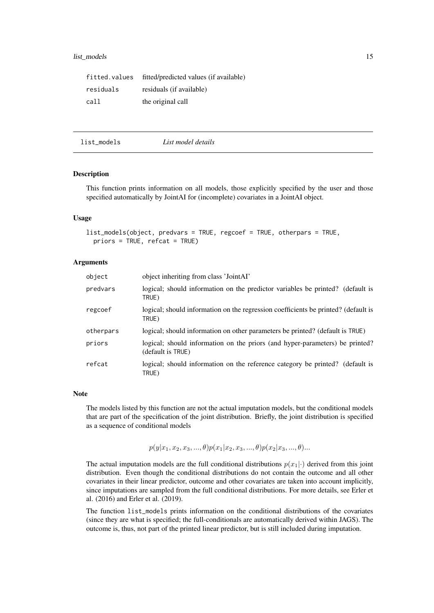#### <span id="page-14-0"></span>list\_models 15

| fitted.values | fitted/predicted values (if available) |
|---------------|----------------------------------------|
| residuals     | residuals (if available)               |
| call          | the original call                      |

<span id="page-14-1"></span>

| list_models | List model details |  |
|-------------|--------------------|--|
|-------------|--------------------|--|

### Description

This function prints information on all models, those explicitly specified by the user and those specified automatically by JointAI for (incomplete) covariates in a JointAI object.

### Usage

```
list_models(object, predvars = TRUE, regcoef = TRUE, otherpars = TRUE,
 priors = TRUE, refcat = TRUE)
```
#### Arguments

| object    | object inheriting from class 'JointAI'                                                            |
|-----------|---------------------------------------------------------------------------------------------------|
| predvars  | logical; should information on the predictor variables be printed? (default is<br>TRUE)           |
| regcoef   | logical; should information on the regression coefficients be printed? (default is<br>TRUE)       |
| otherpars | logical; should information on other parameters be printed? (default is TRUE)                     |
| priors    | logical; should information on the priors (and hyper-parameters) be printed?<br>(default is TRUE) |
| refcat    | logical; should information on the reference category be printed? (default is<br>TRUE)            |

#### Note

The models listed by this function are not the actual imputation models, but the conditional models that are part of the specification of the joint distribution. Briefly, the joint distribution is specified as a sequence of conditional models

 $p(y|x_1, x_2, x_3, ..., \theta)p(x_1|x_2, x_3, ..., \theta)p(x_2|x_3, ..., \theta)...$ 

The actual imputation models are the full conditional distributions  $p(x_1|\cdot)$  derived from this joint distribution. Even though the conditional distributions do not contain the outcome and all other covariates in their linear predictor, outcome and other covariates are taken into account implicitly, since imputations are sampled from the full conditional distributions. For more details, see Erler et al. (2016) and Erler et al. (2019).

The function list\_models prints information on the conditional distributions of the covariates (since they are what is specified; the full-conditionals are automatically derived within JAGS). The outcome is, thus, not part of the printed linear predictor, but is still included during imputation.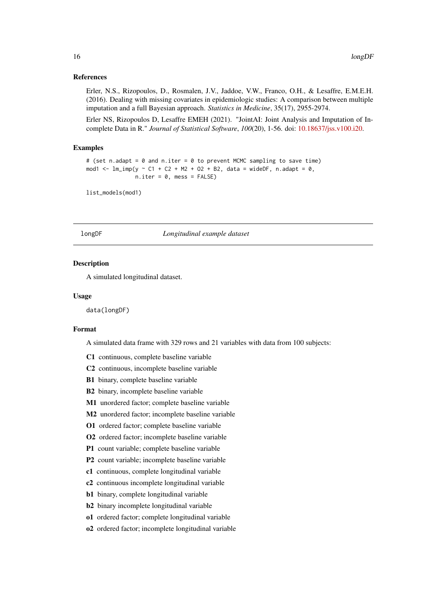#### <span id="page-15-0"></span>References

Erler, N.S., Rizopoulos, D., Rosmalen, J.V., Jaddoe, V.W., Franco, O.H., & Lesaffre, E.M.E.H. (2016). Dealing with missing covariates in epidemiologic studies: A comparison between multiple imputation and a full Bayesian approach. *Statistics in Medicine*, 35(17), 2955-2974.

Erler NS, Rizopoulos D, Lesaffre EMEH (2021). "JointAI: Joint Analysis and Imputation of Incomplete Data in R." *Journal of Statistical Software*, *100*(20), 1-56. doi: [10.18637/jss.v100.i20.](https://doi.org/10.18637/jss.v100.i20)

#### Examples

```
# (set n.adapt = 0 and n.iter = 0 to prevent MCMC sampling to save time)
mod1 <- lm\_imp(y \sim C1 + C2 + M2 + O2 + B2, data = wideDF, n.adapt = 0,
               n.iter = 0, mess = FALSE)
```

```
list_models(mod1)
```
#### longDF *Longitudinal example dataset*

#### Description

A simulated longitudinal dataset.

#### Usage

data(longDF)

#### Format

A simulated data frame with 329 rows and 21 variables with data from 100 subjects:

- C1 continuous, complete baseline variable
- C2 continuous, incomplete baseline variable
- B1 binary, complete baseline variable
- B2 binary, incomplete baseline variable
- M1 unordered factor; complete baseline variable
- M2 unordered factor; incomplete baseline variable
- O1 ordered factor; complete baseline variable
- O2 ordered factor; incomplete baseline variable
- P1 count variable; complete baseline variable
- P2 count variable; incomplete baseline variable
- c1 continuous, complete longitudinal variable
- c2 continuous incomplete longitudinal variable
- b1 binary, complete longitudinal variable
- b2 binary incomplete longitudinal variable
- o1 ordered factor; complete longitudinal variable
- o2 ordered factor; incomplete longitudinal variable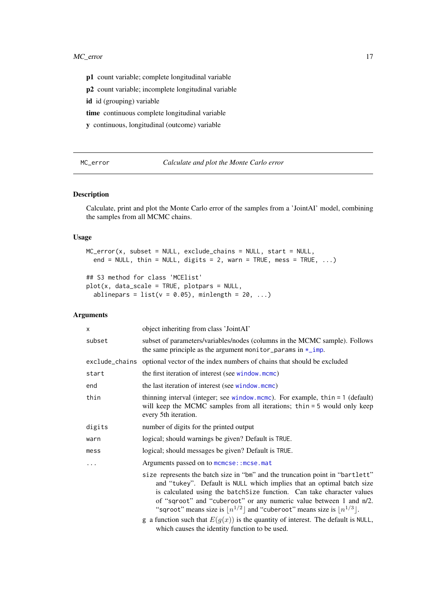<span id="page-16-0"></span>p1 count variable; complete longitudinal variable

p2 count variable; incomplete longitudinal variable

id id (grouping) variable

time continuous complete longitudinal variable

y continuous, longitudinal (outcome) variable

<span id="page-16-1"></span>MC\_error *Calculate and plot the Monte Carlo error*

#### Description

Calculate, print and plot the Monte Carlo error of the samples from a 'JointAI' model, combining the samples from all MCMC chains.

### Usage

```
MC_error(x, subset = NULL, exclude_chains = NULL, start = NULL,
  end = NULL, thin = NULL, digits = 2, warn = TRUE, mess = TRUE, \dots)
```

```
## S3 method for class 'MCElist'
plot(x, data_scale = TRUE, plotpars = NULL,
 ablinepars = list(v = 0.05), minlength = 20, ...)
```
### Arguments

| object inheriting from class 'JointAI'                                                                                                                                                                                                                                                                                                                                                                                                                                                                                                                     |
|------------------------------------------------------------------------------------------------------------------------------------------------------------------------------------------------------------------------------------------------------------------------------------------------------------------------------------------------------------------------------------------------------------------------------------------------------------------------------------------------------------------------------------------------------------|
| subset of parameters/variables/nodes (columns in the MCMC sample). Follows<br>the same principle as the argument monitor_params in $\star$ _imp.                                                                                                                                                                                                                                                                                                                                                                                                           |
| exclude_chains optional vector of the index numbers of chains that should be excluded                                                                                                                                                                                                                                                                                                                                                                                                                                                                      |
| the first iteration of interest (see window.mcmc)                                                                                                                                                                                                                                                                                                                                                                                                                                                                                                          |
| the last iteration of interest (see window.mcmc)                                                                                                                                                                                                                                                                                                                                                                                                                                                                                                           |
| thinning interval (integer; see window.mcmc). For example, $thin = 1$ (default)<br>will keep the MCMC samples from all iterations; thin = 5 would only keep<br>every 5th iteration.                                                                                                                                                                                                                                                                                                                                                                        |
| number of digits for the printed output                                                                                                                                                                                                                                                                                                                                                                                                                                                                                                                    |
| logical; should warnings be given? Default is TRUE.                                                                                                                                                                                                                                                                                                                                                                                                                                                                                                        |
| logical; should messages be given? Default is TRUE.                                                                                                                                                                                                                                                                                                                                                                                                                                                                                                        |
| Arguments passed on to mcmcse:: mcse.mat                                                                                                                                                                                                                                                                                                                                                                                                                                                                                                                   |
| size represents the batch size in "bm" and the truncation point in "bartlett"<br>and "tukey". Default is NULL which implies that an optimal batch size<br>is calculated using the batchSize function. Can take character values<br>of "sqroot" and "cuberoot" or any numeric value between 1 and n/2.<br>"sqroot" means size is $\lfloor n^{1/2} \rfloor$ and "cuberoot" means size is $\lfloor n^{1/3} \rfloor$ .<br>g a function such that $E(g(x))$ is the quantity of interest. The default is NULL,<br>which causes the identity function to be used. |
|                                                                                                                                                                                                                                                                                                                                                                                                                                                                                                                                                            |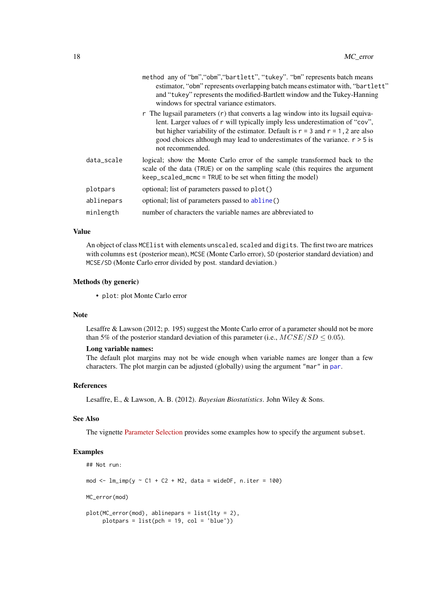<span id="page-17-0"></span>

|            | method any of "bm", "obm", "bartlett", "tukey". "bm" represents batch means<br>estimator, "obm" represents overlapping batch means estimator with, "bartlett"<br>and "tukey" represents the modified-Bartlett window and the Tukey-Hanning<br>windows for spectral variance estimators.                                                                                          |
|------------|----------------------------------------------------------------------------------------------------------------------------------------------------------------------------------------------------------------------------------------------------------------------------------------------------------------------------------------------------------------------------------|
|            | $\mathbf r$ The lugsail parameters $(\mathbf r)$ that converts a lag window into its lugsail equiva-<br>lent. Larger values of r will typically imply less underestimation of "cov",<br>but higher variability of the estimator. Default is $r = 3$ and $r = 1$ , 2 are also<br>good choices although may lead to underestimates of the variance. $r > 5$ is<br>not recommended. |
| data_scale | logical; show the Monte Carlo error of the sample transformed back to the<br>scale of the data (TRUE) or on the sampling scale (this requires the argument<br>keep_scaled_mcmc = TRUE to be set when fitting the model)                                                                                                                                                          |
| plotpars   | optional; list of parameters passed to plot()                                                                                                                                                                                                                                                                                                                                    |
| ablinepars | optional; list of parameters passed to abline()                                                                                                                                                                                                                                                                                                                                  |
| minlength  | number of characters the variable names are abbreviated to                                                                                                                                                                                                                                                                                                                       |

### Value

An object of class MCE list with elements unscaled, scaled and digits. The first two are matrices with columns est (posterior mean), MCSE (Monte Carlo error), SD (posterior standard deviation) and MCSE/SD (Monte Carlo error divided by post. standard deviation.)

### Methods (by generic)

• plot: plot Monte Carlo error

#### Note

Lesaffre & Lawson (2012; p. 195) suggest the Monte Carlo error of a parameter should not be more than 5% of the posterior standard deviation of this parameter (i.e.,  $MCSE/SD \leq 0.05$ ).

#### Long variable names:

The default plot margins may not be wide enough when variable names are longer than a few characters. The plot margin can be adjusted (globally) using the argument "mar" in [par](#page-0-0).

#### References

Lesaffre, E., & Lawson, A. B. (2012). *Bayesian Biostatistics*. John Wiley & Sons.

### See Also

The vignette [Parameter Selection](https://nerler.github.io/JointAI/articles/SelectingParameters.html) provides some examples how to specify the argument subset.

### Examples

```
## Not run:
mod \le - lm\_imp(y \sim C1 + C2 + M2, data = wideDF, n.iter = 100)
MC_error(mod)
plot(MC_error(mod), ablinepars = list(lty = 2),
```

```
plots = list(pch = 19, col = 'blue'))
```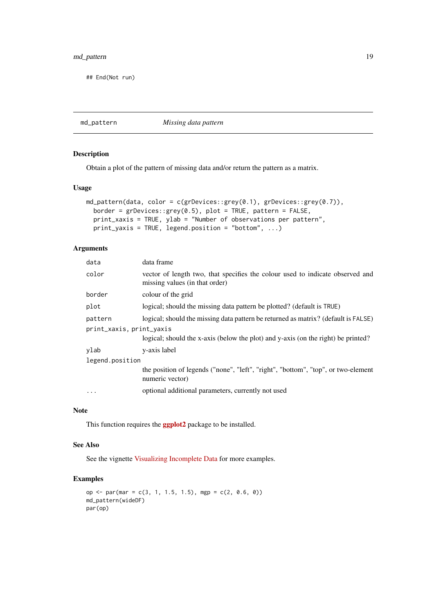### <span id="page-18-0"></span>md\_pattern 19

## End(Not run)

<span id="page-18-1"></span>md\_pattern *Missing data pattern*

### Description

Obtain a plot of the pattern of missing data and/or return the pattern as a matrix.

### Usage

```
md_pattern(data, color = c(grDevices::grey(0.1), grDevices::grey(0.7)),
 border = grDevices::grey(0.5), plot = TRUE, pattern = FALSE,
 print_xaxis = TRUE, ylab = "Number of observations per pattern",
 print_yaxis = TRUE, legend.position = "bottom", ...)
```
### Arguments

| data                     | data frame                                                                                                      |  |  |
|--------------------------|-----------------------------------------------------------------------------------------------------------------|--|--|
| color                    | vector of length two, that specifies the colour used to indicate observed and<br>missing values (in that order) |  |  |
| border                   | colour of the grid                                                                                              |  |  |
| plot                     | logical; should the missing data pattern be plotted? (default is TRUE)                                          |  |  |
| pattern                  | logical; should the missing data pattern be returned as matrix? (default is FALSE)                              |  |  |
| print_xaxis, print_yaxis |                                                                                                                 |  |  |
|                          | logical; should the x-axis (below the plot) and y-axis (on the right) be printed?                               |  |  |
| ylab                     | y-axis label                                                                                                    |  |  |
| legend.position          |                                                                                                                 |  |  |
|                          | the position of legends ("none", "left", "right", "bottom", "top", or two-element<br>numeric vector)            |  |  |
| $\cdots$                 | optional additional parameters, currently not used                                                              |  |  |

### Note

This function requires the **[ggplot2](https://CRAN.R-project.org/package=ggplot2)** package to be installed.

### See Also

See the vignette [Visualizing Incomplete Data](https://nerler.github.io/JointAI/articles/VisualizingIncompleteData.html) for more examples.

### Examples

```
op <- par(mar = c(3, 1, 1.5, 1.5), mgp = c(2, 0.6, 0))
md_pattern(wideDF)
par(op)
```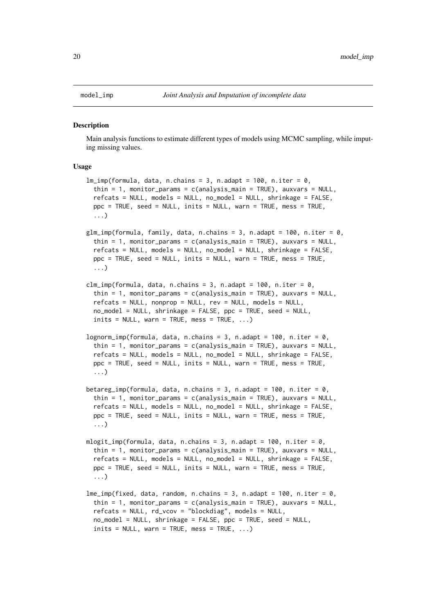<span id="page-19-0"></span>

#### <span id="page-19-1"></span>Description

Main analysis functions to estimate different types of models using MCMC sampling, while imputing missing values.

#### Usage

```
lm\_imp(formula, data, n.chains = 3, n.addpt = 100, n.iter = 0,thin = 1, monitor_params = c(analysis_main = TRUE), auxvars = NULL,
  refcats = NULL, models = NULL, no_model = NULL, shrinkage = FALSE,
 ppc = TRUE, seed = NULL, inits = NULL, warn = TRUE, mess = TRUE,
  ...)
glm_imp(formula, family, data, n.chains = 3, n.adapt = 100, n.iter = 0,
  thin = 1, monitor_params = c(analysis\_main = TRUE), auxvars = NULL,
  refcats = NULL, models = NULL, no_model = NULL, shrinkage = FALSE,
 ppc = TRUE, seed = NULL, inits = NULL, warn = TRUE, mess = TRUE,
  ...)
clm_imp(formula, data, n.chains = 3, n.addpt = 100, n.iter = 0,thin = 1, monitor_params = c(analysis_main = TRUE), auxvars = NULL,
  refcats = NULL, nonprop = NULL, rev = NULL, models = NULL,
 no_model = NULL, shrinkage = FALSE, ppc = TRUE, seed = NULL,
  inits = NULL, warn = TRUE, mess = TRUE, ...)
lognorm_imp(formula, data, n.chains = 3, n.adapt = 100, n.iter = 0,
  thin = 1, monitor_params = c(analysis_main = TRUE), auxvars = NULL,
  refcats = NULL, models = NULL, no_model = NULL, shrinkage = FALSE,
 ppc = TRUE, seed = NULL, inits = NULL, warn = TRUE, mess = TRUE,
  ...)
betareg_imp(formula, data, n.chains = 3, n.adapt = 100, n.iter = 0,
  thin = 1, monitor_params = c(analysis_main = TRUE), auxvars = NULL,
  refcats = NULL, models = NULL, no model = NULL, shrinkage = FALSE,
 ppc = TRUE, seed = NULL, inits = NULL, warn = TRUE, mess = TRUE,
  ...)
mlogit_imp(formula, data, n.chains = 3, n.adapt = 100, n.iter = 0,
  thin = 1, monitor_params = c(analysis_main = TRUE), auxvars = NULL,
  refcats = NULL, models = NULL, no_model = NULL, shrinkage = FALSE,
 ppc = TRUE, seed = NULL, inits = NULL, warn = TRUE, mess = TRUE,
  ...)
lme\_imp(fixed, data, random, n.chains = 3, n.addapt = 100, n.iter = 0,thin = 1, monitor_params = c(analysis_main = TRUE), auxvars = NULL,
 refcats = NULL, rd_vcov = "blockdiag", models = NULL,
 no_model = NULL, shrinkage = FALSE, ppc = TRUE, seed = NULL,
  inits = NULL, warn = TRUE, mess = TRUE, \dots)
```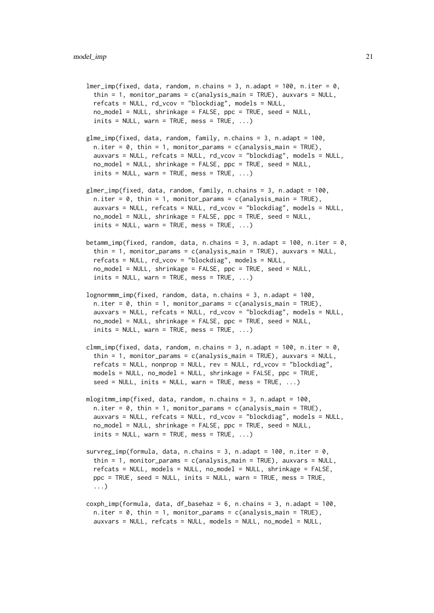$lmer\_imp(fixed, data, random, n.chains = 3, n.addopt = 100, n.iter = 0,$ thin = 1, monitor\_params =  $c$ (analysis\_main = TRUE), auxvars = NULL, refcats = NULL, rd\_vcov = "blockdiag", models = NULL,  $no\_model = NULL$ , shrinkage = FALSE,  $ppc = TRUE$ , seed = NULL,  $inits = NULL$ , warn = TRUE, mess = TRUE,  $\dots$ )

- glme\_imp(fixed, data, random, family, n.chains = 3, n.adapt = 100,  $n.$  iter = 0, thin = 1, monitor\_params = c(analysis\_main = TRUE), auxvars = NULL, refcats = NULL, rd\_vcov = "blockdiag", models = NULL,  $no\_model$  = NULL, shrinkage = FALSE,  $ppc$  = TRUE, seed = NULL,  $inits = NULL$ , warn = TRUE, mess = TRUE, ...)
- glmer\_imp(fixed, data, random, family, n.chains = 3, n.adapt = 100,  $n.$ iter = 0, thin = 1, monitor\_params = c(analysis\_main = TRUE), auxvars = NULL, refcats = NULL, rd\_vcov = "blockdiag", models = NULL,  $no_model = NULL$ , shrinkage = FALSE,  $ppo = TRUE$ , seed = NULL,  $inits = NULL$ , warn = TRUE, mess = TRUE, ...)
- betamm\_imp(fixed, random, data, n.chains = 3, n.adapt = 100, n.iter = 0, thin = 1, monitor\_params =  $c$ (analysis\_main = TRUE), auxvars = NULL, refcats = NULL, rd\_vcov = "blockdiag", models = NULL, no\_model = NULL, shrinkage = FALSE, ppc = TRUE, seed = NULL,  $inits = NULL$ , warn = TRUE, mess = TRUE,  $\dots$ )
- $lognormmm\_imp(fixed, random, data, n.chains = 3, n.addpt = 100,$  $n.$ iter = 0, thin = 1, monitor\_params = c(analysis\_main = TRUE), auxvars = NULL, refcats = NULL, rd\_vcov = "blockdiag", models = NULL, no\_model = NULL, shrinkage = FALSE, ppc = TRUE, seed = NULL,  $inits = NULL$ , warn = TRUE, mess = TRUE, ...)
- clmm\_imp(fixed, data, random, n.chains = 3, n.adapt = 100, n.iter = 0, thin = 1, monitor\_params =  $c$ (analysis\_main = TRUE), auxvars = NULL, refcats = NULL, nonprop = NULL, rev = NULL, rd\_vcov = "blockdiag", models = NULL, no\_model = NULL, shrinkage = FALSE, ppc = TRUE,  $seed = NULL$ ,  $inits = NULL$ , warn = TRUE, mess = TRUE, ...)
- mlogitmm\_imp(fixed, data, random, n.chains = 3, n.adapt = 100,  $n.iter = 0$ , thin = 1, monitor\_params = c(analysis\_main = TRUE), auxvars = NULL, refcats = NULL, rd\_vcov = "blockdiag", models = NULL, no\_model = NULL, shrinkage = FALSE, ppc = TRUE, seed = NULL,  $inits = NULL$ , warn = TRUE, mess = TRUE,  $\dots$ )
- survreg\_imp(formula, data, n.chains = 3, n.adapt = 100, n.iter =  $0$ , thin = 1, monitor\_params =  $c$ (analysis\_main = TRUE), auxvars = NULL,  $refcats = NULL$ , models = NULL, no\_model = NULL, shrinkage = FALSE, ppc = TRUE, seed = NULL, inits = NULL, warn = TRUE, mess = TRUE, ...)
- $cosh_i$  mp(formula, data, df basehaz = 6, n.chains = 3, n.adapt = 100,  $n.$ iter = 0, thin = 1, monitor\_params = c(analysis\_main = TRUE), auxvars = NULL, refcats = NULL, models = NULL, no\_model = NULL,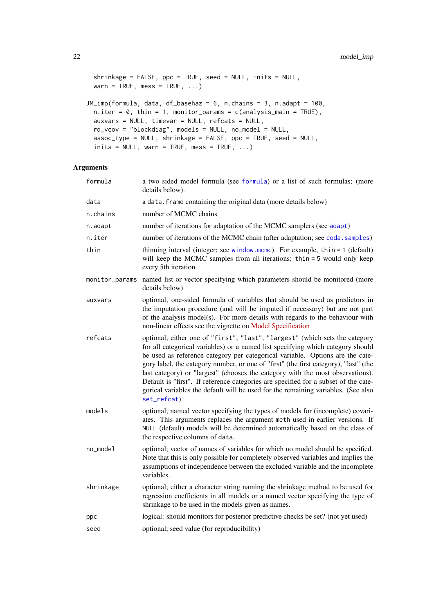```
shrinkage = FALSE, ppc = TRUE, seed = NULL, inits = NULL,
 warn = TRUE, mess = TRUE, \ldots)
JM_imp(formula, data, df_basehaz = 6, n.chains = 3, n.adapt = 100,
 n.iter = 0, thin = 1, monitor_params = c(analysis_main = TRUE),
 auxvars = NULL, timevar = NULL, refcats = NULL,
 rd_vcov = "blockdiag", models = NULL, no_model = NULL,
 assoc_type = NULL, shrinkage = FALSE, ppc = TRUE, seed = NULL,
 inits = NULL, warn = TRUE, mess = TRUE, \dots)
```
### Arguments

| formula        | a two sided model formula (see formula) or a list of such formulas; (more<br>details below).                                                                                                                                                                                                                                                                                                                                                                                                                                                                                                                         |
|----------------|----------------------------------------------------------------------------------------------------------------------------------------------------------------------------------------------------------------------------------------------------------------------------------------------------------------------------------------------------------------------------------------------------------------------------------------------------------------------------------------------------------------------------------------------------------------------------------------------------------------------|
| data           | a data. frame containing the original data (more details below)                                                                                                                                                                                                                                                                                                                                                                                                                                                                                                                                                      |
| n.chains       | number of MCMC chains                                                                                                                                                                                                                                                                                                                                                                                                                                                                                                                                                                                                |
| n.adapt        | number of iterations for adaptation of the MCMC samplers (see adapt)                                                                                                                                                                                                                                                                                                                                                                                                                                                                                                                                                 |
| n.iter         | number of iterations of the MCMC chain (after adaptation; see coda. samples)                                                                                                                                                                                                                                                                                                                                                                                                                                                                                                                                         |
| thin           | thinning interval (integer; see window.mcmc). For example, thin $= 1$ (default)<br>will keep the MCMC samples from all iterations; thin = 5 would only keep<br>every 5th iteration.                                                                                                                                                                                                                                                                                                                                                                                                                                  |
| monitor_params | named list or vector specifying which parameters should be monitored (more<br>details below)                                                                                                                                                                                                                                                                                                                                                                                                                                                                                                                         |
| auxvars        | optional; one-sided formula of variables that should be used as predictors in<br>the imputation procedure (and will be imputed if necessary) but are not part<br>of the analysis model(s). For more details with regards to the behaviour with<br>non-linear effects see the vignette on Model Specification                                                                                                                                                                                                                                                                                                         |
| refcats        | optional; either one of "first", "last", "largest" (which sets the category<br>for all categorical variables) or a named list specifying which category should<br>be used as reference category per categorical variable. Options are the cate-<br>gory label, the category number, or one of "first" (the first category), "last" (the<br>last category) or "largest" (chooses the category with the most observations).<br>Default is "first". If reference categories are specified for a subset of the cate-<br>gorical variables the default will be used for the remaining variables. (See also<br>set_refcat) |
| models         | optional; named vector specifying the types of models for (incomplete) covari-<br>ates. This arguments replaces the argument meth used in earlier versions. If<br>NULL (default) models will be determined automatically based on the class of<br>the respective columns of data.                                                                                                                                                                                                                                                                                                                                    |
| no_model       | optional; vector of names of variables for which no model should be specified.<br>Note that this is only possible for completely observed variables and implies the<br>assumptions of independence between the excluded variable and the incomplete<br>variables.                                                                                                                                                                                                                                                                                                                                                    |
| shrinkage      | optional; either a character string naming the shrinkage method to be used for<br>regression coefficients in all models or a named vector specifying the type of<br>shrinkage to be used in the models given as names.                                                                                                                                                                                                                                                                                                                                                                                               |
| ppc            | logical: should monitors for posterior predictive checks be set? (not yet used)                                                                                                                                                                                                                                                                                                                                                                                                                                                                                                                                      |
| seed           | optional; seed value (for reproducibility)                                                                                                                                                                                                                                                                                                                                                                                                                                                                                                                                                                           |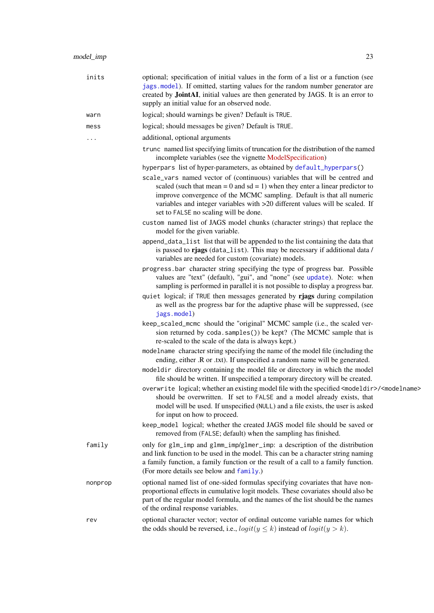<span id="page-22-0"></span>

| inits   | optional; specification of initial values in the form of a list or a function (see<br>jags.model). If omitted, starting values for the random number generator are<br>created by JointAI, initial values are then generated by JAGS. It is an error to<br>supply an initial value for an observed node.                                                        |
|---------|----------------------------------------------------------------------------------------------------------------------------------------------------------------------------------------------------------------------------------------------------------------------------------------------------------------------------------------------------------------|
| warn    | logical; should warnings be given? Default is TRUE.                                                                                                                                                                                                                                                                                                            |
| mess    | logical; should messages be given? Default is TRUE.                                                                                                                                                                                                                                                                                                            |
| .       | additional, optional arguments                                                                                                                                                                                                                                                                                                                                 |
|         | trunc named list specifying limits of truncation for the distribution of the named<br>incomplete variables (see the vignette ModelSpecification)                                                                                                                                                                                                               |
|         | hyperpars list of hyper-parameters, as obtained by default_hyperpars()                                                                                                                                                                                                                                                                                         |
|         | scale_vars named vector of (continuous) variables that will be centred and<br>scaled (such that mean = $0$ and sd = 1) when they enter a linear predictor to<br>improve convergence of the MCMC sampling. Default is that all numeric<br>variables and integer variables with >20 different values will be scaled. If<br>set to FALSE no scaling will be done. |
|         | custom named list of JAGS model chunks (character strings) that replace the<br>model for the given variable.                                                                                                                                                                                                                                                   |
|         | append_data_list list that will be appended to the list containing the data that<br>is passed to riags (data_list). This may be necessary if additional data /<br>variables are needed for custom (covariate) models.                                                                                                                                          |
|         | progress bar character string specifying the type of progress bar. Possible<br>values are "text" (default), "gui", and "none" (see update). Note: when<br>sampling is performed in parallel it is not possible to display a progress bar.                                                                                                                      |
|         | quiet logical; if TRUE then messages generated by rjags during compilation<br>as well as the progress bar for the adaptive phase will be suppressed, (see<br>jags.model)                                                                                                                                                                                       |
|         | keep_scaled_mcmc should the "original" MCMC sample (i.e., the scaled ver-<br>sion returned by coda.samples()) be kept? (The MCMC sample that is<br>re-scaled to the scale of the data is always kept.)                                                                                                                                                         |
|         | modelname character string specifying the name of the model file (including the<br>ending, either .R or .txt). If unspecified a random name will be generated.                                                                                                                                                                                                 |
|         | modeldir directory containing the model file or directory in which the model<br>file should be written. If unspecified a temporary directory will be created.                                                                                                                                                                                                  |
|         | overwrite logical; whether an existing model file with the specified <modeldir>/<modelname><br/>should be overwritten. If set to FALSE and a model already exists, that<br/>model will be used. If unspecified (NULL) and a file exists, the user is asked<br/>for input on how to proceed.</modelname></modeldir>                                             |
|         | keep_mode1 logical; whether the created JAGS model file should be saved or<br>removed from (FALSE; default) when the sampling has finished.                                                                                                                                                                                                                    |
| family  | only for glm_imp and glmm_imp/glmer_imp: a description of the distribution<br>and link function to be used in the model. This can be a character string naming<br>a family function, a family function or the result of a call to a family function.<br>(For more details see below and family.)                                                               |
| nonprop | optional named list of one-sided formulas specifying covariates that have non-<br>proportional effects in cumulative logit models. These covariates should also be<br>part of the regular model formula, and the names of the list should be the names<br>of the ordinal response variables.                                                                   |
| rev     | optional character vector; vector of ordinal outcome variable names for which<br>the odds should be reversed, i.e., $logit(y \le k)$ instead of $logit(y > k)$ .                                                                                                                                                                                               |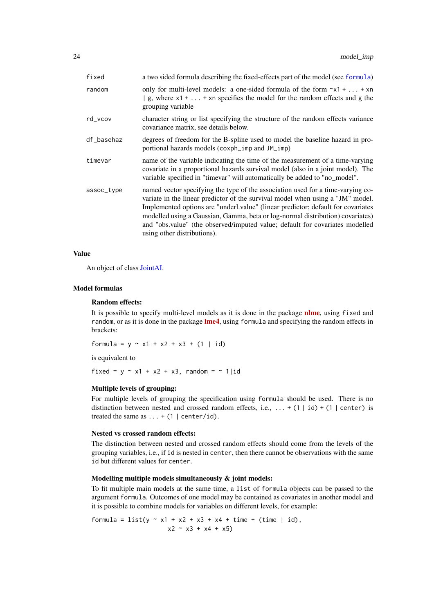<span id="page-23-0"></span>

| fixed      | a two sided formula describing the fixed-effects part of the model (see formula)                                                                                                                                                                                                                                                                                                                                                                       |
|------------|--------------------------------------------------------------------------------------------------------------------------------------------------------------------------------------------------------------------------------------------------------------------------------------------------------------------------------------------------------------------------------------------------------------------------------------------------------|
| random     | only for multi-level models: a one-sided formula of the form $\gamma x$ 1 +  + xn<br>$\vert$ g, where x1 +  + xn specifies the model for the random effects and g the<br>grouping variable                                                                                                                                                                                                                                                             |
| rd_vcov    | character string or list specifying the structure of the random effects variance<br>covariance matrix, see details below.                                                                                                                                                                                                                                                                                                                              |
| df_basehaz | degrees of freedom for the B-spline used to model the baseline hazard in pro-<br>portional hazards models (coxph_imp and JM_imp)                                                                                                                                                                                                                                                                                                                       |
| timevar    | name of the variable indicating the time of the measurement of a time-varying<br>covariate in a proportional hazards survival model (also in a joint model). The<br>variable specified in "timevar" will automatically be added to "no_model".                                                                                                                                                                                                         |
| assoc_type | named vector specifying the type of the association used for a time-varying co-<br>variate in the linear predictor of the survival model when using a "JM" model.<br>Implemented options are "underl.value" (linear predictor; default for covariates<br>modelled using a Gaussian, Gamma, beta or log-normal distribution) covariates)<br>and "obs.value" (the observed/imputed value; default for covariates modelled<br>using other distributions). |

#### Value

An object of class [JointAI.](#page-12-1)

#### Model formulas

#### Random effects:

It is possible to specify multi-level models as it is done in the package **nime**, using fixed and random, or as it is done in the package **[lme4](https://CRAN.R-project.org/package=lme4)**, using formula and specifying the random effects in brackets:

formula =  $y \sim x1 + x2 + x3 + (1 \mid id)$ 

is equivalent to

fixed =  $y \sim x1 + x2 + x3$ , random =  $\sim 1$ |id

### Multiple levels of grouping:

For multiple levels of grouping the specification using formula should be used. There is no distinction between nested and crossed random effects, i.e., ... + (1 | id) + (1 | center) is treated the same as  $\dots$  + (1 | center/id).

### Nested vs crossed random effects:

The distinction between nested and crossed random effects should come from the levels of the grouping variables, i.e., if id is nested in center, then there cannot be observations with the same id but different values for center.

### Modelling multiple models simultaneously & joint models:

To fit multiple main models at the same time, a list of formula objects can be passed to the argument formula. Outcomes of one model may be contained as covariates in another model and it is possible to combine models for variables on different levels, for example:

formula =  $list(y - x1 + x2 + x3 + x4 + time + (time | id),$  $x2 \sim x3 + x4 + x5$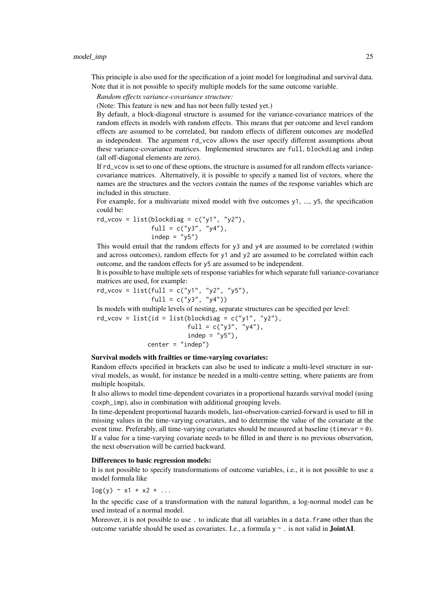This principle is also used for the specification of a joint model for longitudinal and survival data. Note that it is not possible to specify multiple models for the same outcome variable.

*Random effects variance-covariance structure:*

(Note: This feature is new and has not been fully tested yet.)

By default, a block-diagonal structure is assumed for the variance-covariance matrices of the random effects in models with random effects. This means that per outcome and level random effects are assumed to be correlated, but random effects of different outcomes are modelled as independent. The argument rd\_vcov allows the user specify different assumptions about these variance-covariance matrices. Implemented structures are full, blockdiag and indep (all off-diagonal elements are zero).

If rd\_vcov is set to one of these options, the structure is assumed for all random effects variancecovariance matrices. Alternatively, it is possible to specify a named list of vectors, where the names are the structures and the vectors contain the names of the response variables which are included in this structure.

For example, for a multivariate mixed model with five outcomes y1, ..., y5, the specification could be:

$$
rd\_vcov = list(blockdiag = c("y1", "y2"),
$$
  
 
$$
full = c("y3", "y4"),
$$
  
 
$$
indep = "y5")
$$

This would entail that the random effects for y3 and y4 are assumed to be correlated (within and across outcomes), random effects for  $y1$  and  $y2$  are assumed to be correlated within each outcome, and the random effects for y5 are assumed to be independent.

It is possible to have multiple sets of response variables for which separate full variance-covariance matrices are used, for example:

rd\_vcov = list(full = c("y1", "y2", "y5"), full = c("y3", "y4"))

In models with multiple levels of nesting, separate structures can be specified per level:

 $rd\_vcov = list(id = list(blockdiag = c("y1", "y2"),$ full =  $c("y3", "y4")$ ,  $indep = "y5")$ ,  $center = "indep")$ 

Survival models with frailties or time-varying covariates:

Random effects specified in brackets can also be used to indicate a multi-level structure in survival models, as would, for instance be needed in a multi-centre setting, where patients are from multiple hospitals.

It also allows to model time-dependent covariates in a proportional hazards survival model (using coxph\_imp), also in combination with additional grouping levels.

In time-dependent proportional hazards models, last-observation-carried-forward is used to fill in missing values in the time-varying covariates, and to determine the value of the covariate at the event time. Preferably, all time-varying covariates should be measured at baseline (timevar =  $\theta$ ). If a value for a time-varying covariate needs to be filled in and there is no previous observation, the next observation will be carried backward.

#### Differences to basic regression models:

It is not possible to specify transformations of outcome variables, i.e., it is not possible to use a model formula like

 $\log(y) \sim x1 + x2 + ...$ 

In the specific case of a transformation with the natural logarithm, a log-normal model can be used instead of a normal model.

Moreover, it is not possible to use. to indicate that all variables in a data. frame other than the outcome variable should be used as covariates. I.e., a formula  $y \sim$ . is not valid in **JointAI**.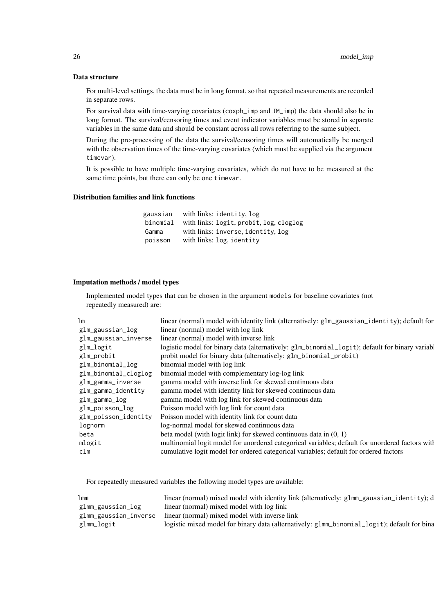#### Data structure

For multi-level settings, the data must be in long format, so that repeated measurements are recorded in separate rows.

For survival data with time-varying covariates (coxph\_imp and JM\_imp) the data should also be in long format. The survival/censoring times and event indicator variables must be stored in separate variables in the same data and should be constant across all rows referring to the same subject.

During the pre-processing of the data the survival/censoring times will automatically be merged with the observation times of the time-varying covariates (which must be supplied via the argument timevar).

It is possible to have multiple time-varying covariates, which do not have to be measured at the same time points, but there can only be one timevar.

### Distribution families and link functions

| gaussian | with links: identity, log               |
|----------|-----------------------------------------|
| binomial | with links: logit, probit, log, cloglog |
| Gamma    | with links: inverse, identity, log      |
| poisson  | with links: log, identity               |

### Imputation methods / model types

Implemented model types that can be chosen in the argument models for baseline covariates (not repeatedly measured) are:

| lm                   | linear (normal) model with identity link (alternatively: $g1m_{g}$ aussian_identity); default for |
|----------------------|---------------------------------------------------------------------------------------------------|
| glm_gaussian_log     | linear (normal) model with log link                                                               |
| glm_gaussian_inverse | linear (normal) model with inverse link                                                           |
| glm_logit            | logistic model for binary data (alternatively: glm_binomial_logit); default for binary variab     |
| glm_probit           | probit model for binary data (alternatively: glm_binomial_probit)                                 |
| glm_binomial_log     | binomial model with log link                                                                      |
| glm_binomial_cloglog | binomial model with complementary log-log link                                                    |
| glm_gamma_inverse    | gamma model with inverse link for skewed continuous data                                          |
| glm_gamma_identity   | gamma model with identity link for skewed continuous data                                         |
| glm_gamma_log        | gamma model with log link for skewed continuous data                                              |
| glm_poisson_log      | Poisson model with log link for count data                                                        |
| glm_poisson_identity | Poisson model with identity link for count data                                                   |
| lognorm              | log-normal model for skewed continuous data                                                       |
| beta                 | beta model (with logit link) for skewed continuous data in $(0, 1)$                               |
| mlogit               | multinomial logit model for unordered categorical variables; default for unordered factors with   |
| clm                  | cumulative logit model for ordered categorical variables; default for ordered factors             |

For repeatedly measured variables the following model types are available:

| 1 <sub>mm</sub>       | linear (normal) mixed model with identity link (alternatively: $glmm_g$ gaussian_identity); $d$ |
|-----------------------|-------------------------------------------------------------------------------------------------|
| glmm_gaussian_log     | linear (normal) mixed model with log link                                                       |
| glmm_gaussian_inverse | linear (normal) mixed model with inverse link                                                   |
| glmm_logit            | logistic mixed model for binary data (alternatively: glmm_binomial_logit); default for bina     |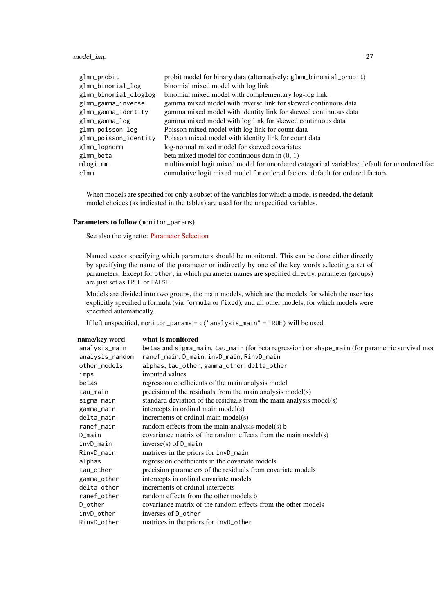#### model\_imp 27

| glmm_probit           | probit model for binary data (alternatively: glmm_binomial_probit)                           |
|-----------------------|----------------------------------------------------------------------------------------------|
| glmm_binomial_log     | binomial mixed model with log link                                                           |
| glmm_binomial_cloglog | binomial mixed model with complementary log-log link                                         |
| glmm_gamma_inverse    | gamma mixed model with inverse link for skewed continuous data                               |
| glmm_gamma_identity   | gamma mixed model with identity link for skewed continuous data                              |
| glmm_gamma_log        | gamma mixed model with log link for skewed continuous data                                   |
| glmm_poisson_log      | Poisson mixed model with log link for count data                                             |
| glmm_poisson_identity | Poisson mixed model with identity link for count data                                        |
| glmm_lognorm          | log-normal mixed model for skewed covariates                                                 |
| glmm_beta             | beta mixed model for continuous data in $(0, 1)$                                             |
| mlogitmm              | multinomial logit mixed model for unordered categorical variables; default for unordered fac |
| clmm                  | cumulative logit mixed model for ordered factors; default for ordered factors                |
|                       |                                                                                              |

When models are specified for only a subset of the variables for which a model is needed, the default model choices (as indicated in the tables) are used for the unspecified variables.

### Parameters to follow (monitor\_params)

See also the vignette: [Parameter Selection](https://nerler.github.io/JointAI/articles/SelectingParameters.html)

Named vector specifying which parameters should be monitored. This can be done either directly by specifying the name of the parameter or indirectly by one of the key words selecting a set of parameters. Except for other, in which parameter names are specified directly, parameter (groups) are just set as TRUE or FALSE.

Models are divided into two groups, the main models, which are the models for which the user has explicitly specified a formula (via formula or fixed), and all other models, for which models were specified automatically.

If left unspecified, monitor\_params =  $c('analysis\_main'' = TRUE)$  will be used.

| what is monitored                                                                               |
|-------------------------------------------------------------------------------------------------|
| betas and sigma_main, tau_main (for beta regression) or shape_main (for parametric survival mod |
| ranef_main, D_main, invD_main, RinvD_main                                                       |
| alphas, tau_other, gamma_other, delta_other                                                     |
| imputed values                                                                                  |
| regression coefficients of the main analysis model                                              |
| precision of the residuals from the main analysis model(s)                                      |
| standard deviation of the residuals from the main analysis model(s)                             |
| intercepts in ordinal main model(s)                                                             |
| increments of ordinal main model(s)                                                             |
| random effects from the main analysis model(s) b                                                |
| covariance matrix of the random effects from the main model(s)                                  |
| $inverse(s)$ of D_main                                                                          |
| matrices in the priors for invD_main                                                            |
| regression coefficients in the covariate models                                                 |
| precision parameters of the residuals from covariate models                                     |
| intercepts in ordinal covariate models                                                          |
| increments of ordinal intercepts                                                                |
| random effects from the other models b                                                          |
| covariance matrix of the random effects from the other models                                   |
| inverses of D_other                                                                             |
| matrices in the priors for invD_other                                                           |
|                                                                                                 |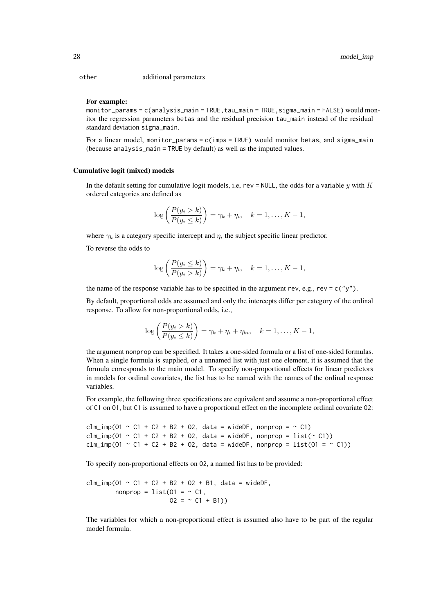other additional parameters

#### For example:

monitor\_params =  $c$ (analysis\_main = TRUE, tau\_main = TRUE, sigma\_main = FALSE) would monitor the regression parameters betas and the residual precision tau\_main instead of the residual standard deviation sigma\_main.

For a linear model, monitor\_params = c(imps = TRUE) would monitor betas, and sigma\_main (because analysis\_main = TRUE by default) as well as the imputed values.

### Cumulative logit (mixed) models

In the default setting for cumulative logit models, i.e, rev = NULL, the odds for a variable y with K ordered categories are defined as

$$
\log\left(\frac{P(y_i > k)}{P(y_i \le k)}\right) = \gamma_k + \eta_i, \quad k = 1, \dots, K - 1,
$$

where  $\gamma_k$  is a category specific intercept and  $\eta_i$  the subject specific linear predictor.

To reverse the odds to

$$
\log\left(\frac{P(y_i \le k)}{P(y_i > k)}\right) = \gamma_k + \eta_i, \quad k = 1, \dots, K - 1,
$$

the name of the response variable has to be specified in the argument rev, e.g., rev = c("y").

By default, proportional odds are assumed and only the intercepts differ per category of the ordinal response. To allow for non-proportional odds, i.e.,

$$
\log\left(\frac{P(y_i > k)}{P(y_i \leq k)}\right) = \gamma_k + \eta_i + \eta_{ki}, \quad k = 1, \dots, K - 1,
$$

the argument nonprop can be specified. It takes a one-sided formula or a list of one-sided formulas. When a single formula is supplied, or a unnamed list with just one element, it is assumed that the formula corresponds to the main model. To specify non-proportional effects for linear predictors in models for ordinal covariates, the list has to be named with the names of the ordinal response variables.

For example, the following three specifications are equivalent and assume a non-proportional effect of C1 on O1, but C1 is assumed to have a proportional effect on the incomplete ordinal covariate O2:

```
clm_imp(01 \sim C1 + C2 + B2 + O2, data = wideDF, nonprop = \sim C1)
clm_imp(01 ~ C1 + C2 + B2 + O2, data = wideDF, nonprop = list(~ C1))
clm_imp(01 ~ C1 + C2 + B2 + O2, data = wideDF, nonprop = list(01 = ~ C1))
```
To specify non-proportional effects on O2, a named list has to be provided:

```
clm\_imp(01 \sim C1 + C2 + B2 + 02 + B1, data = wideDF,
        nonprop = list(01 = ~C1).
                       02 = -C1 + B1)
```
The variables for which a non-proportional effect is assumed also have to be part of the regular model formula.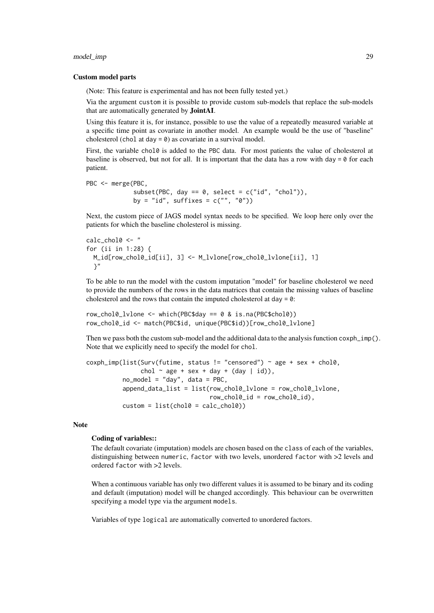#### model\_imp 29

#### Custom model parts

(Note: This feature is experimental and has not been fully tested yet.)

Via the argument custom it is possible to provide custom sub-models that replace the sub-models that are automatically generated by JointAI.

Using this feature it is, for instance, possible to use the value of a repeatedly measured variable at a specific time point as covariate in another model. An example would be the use of "baseline" cholesterol (chol at day  $= 0$ ) as covariate in a survival model.

First, the variable chol0 is added to the PBC data. For most patients the value of cholesterol at baseline is observed, but not for all. It is important that the data has a row with day =  $\theta$  for each patient.

```
PBC <- merge(PBC,
            subset(PBC, day == 0, select = c("id", "chol")),
            by = "id", suffixes = c("", "0")
```
Next, the custom piece of JAGS model syntax needs to be specified. We loop here only over the patients for which the baseline cholesterol is missing.

```
calc_chol0 <- "
for (ii in 1:28) {
 M_id[row_chol0_id[ii], 3] <- M_lvlone[row_chol0_lvlone[ii], 1]
  }"
```
To be able to run the model with the custom imputation "model" for baseline cholesterol we need to provide the numbers of the rows in the data matrices that contain the missing values of baseline cholesterol and the rows that contain the imputed cholesterol at day  $= 0$ :

```
row_chol0_lvlone <- which(PBC$day == 0 & is.na(PBC$chol0))
row_chol0_id <- match(PBC$id, unique(PBC$id))[row_chol0_lvlone]
```
Then we pass both the custom sub-model and the additional data to the analysis function coxph\_imp(). Note that we explicitly need to specify the model for chol.

```
cosh\_imp(list(Surv(futime, status != "censored") \sim age + sex + chol0,chol \sim age + sex + day + (day | id)).
           no_model = "day", data = PBC,
           append_data_list = list(row_chol0_lvlone = row_chol0_lvlone,
                                       row\_chol0\_id = row\_chol0\_id,
           \text{custom} = \text{list}(\text{chol0} = \text{calc\_chol0})
```
### Note

#### Coding of variables::

The default covariate (imputation) models are chosen based on the class of each of the variables, distinguishing between numeric, factor with two levels, unordered factor with >2 levels and ordered factor with >2 levels.

When a continuous variable has only two different values it is assumed to be binary and its coding and default (imputation) model will be changed accordingly. This behaviour can be overwritten specifying a model type via the argument models.

Variables of type logical are automatically converted to unordered factors.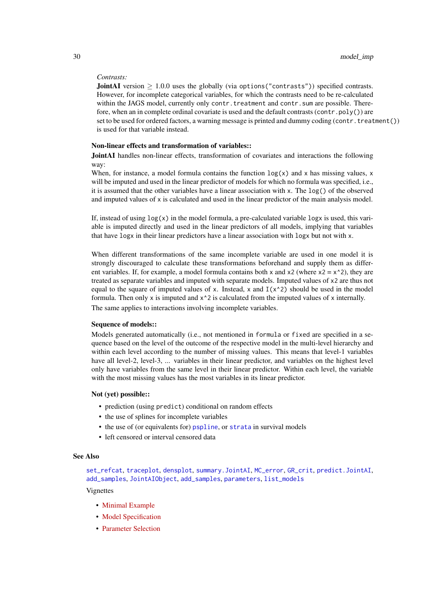### <span id="page-29-0"></span>*Contrasts:*

**JointAI** version  $\geq 1.0.0$  uses the globally (via options ("contrasts")) specified contrasts. However, for incomplete categorical variables, for which the contrasts need to be re-calculated within the JAGS model, currently only contr.treatment and contr.sum are possible. Therefore, when an in complete ordinal covariate is used and the default contrasts (contr.poly()) are set to be used for ordered factors, a warning message is printed and dummy coding (contr.treatment()) is used for that variable instead.

#### Non-linear effects and transformation of variables::

JointAI handles non-linear effects, transformation of covariates and interactions the following way:

When, for instance, a model formula contains the function  $log(x)$  and x has missing values, x will be imputed and used in the linear predictor of models for which no formula was specified, i.e., it is assumed that the other variables have a linear association with x. The  $log()$  of the observed and imputed values of x is calculated and used in the linear predictor of the main analysis model.

If, instead of using  $log(x)$  in the model formula, a pre-calculated variable  $logx$  is used, this variable is imputed directly and used in the linear predictors of all models, implying that variables that have logx in their linear predictors have a linear association with logx but not with x.

When different transformations of the same incomplete variable are used in one model it is strongly discouraged to calculate these transformations beforehand and supply them as different variables. If, for example, a model formula contains both x and  $x^2$  (where  $x^2 = x^2$ ), they are treated as separate variables and imputed with separate models. Imputed values of x2 are thus not equal to the square of imputed values of x. Instead, x and  $I(x^2)$  should be used in the model formula. Then only x is imputed and  $x^2$  is calculated from the imputed values of x internally.

The same applies to interactions involving incomplete variables.

#### Sequence of models::

Models generated automatically (i.e., not mentioned in formula or fixed are specified in a sequence based on the level of the outcome of the respective model in the multi-level hierarchy and within each level according to the number of missing values. This means that level-1 variables have all level-2, level-3, ... variables in their linear predictor, and variables on the highest level only have variables from the same level in their linear predictor. Within each level, the variable with the most missing values has the most variables in its linear predictor.

#### Not (yet) possible::

- prediction (using predict) conditional on random effects
- the use of splines for incomplete variables
- the use of (or equivalents for) [pspline](#page-0-0), or [strata](#page-0-0) in survival models
- left censored or interval censored data

### See Also

[set\\_refcat](#page-41-1), [traceplot](#page-45-1), [densplot](#page-5-1), [summary.JointAI](#page-38-1), [MC\\_error](#page-16-1), [GR\\_crit](#page-9-1), [predict.JointAI](#page-36-1), [add\\_samples](#page-1-1), [JointAIObject](#page-12-1), [add\\_samples](#page-1-1), [parameters](#page-32-1), [list\\_models](#page-14-1)

Vignettes

- [Minimal Example](https://nerler.github.io/JointAI/articles/MinimalExample.html)
- [Model Specification](https://nerler.github.io/JointAI/articles/ModelSpecification.html)
- [Parameter Selection](https://nerler.github.io/JointAI/articles/SelectingParameters.html)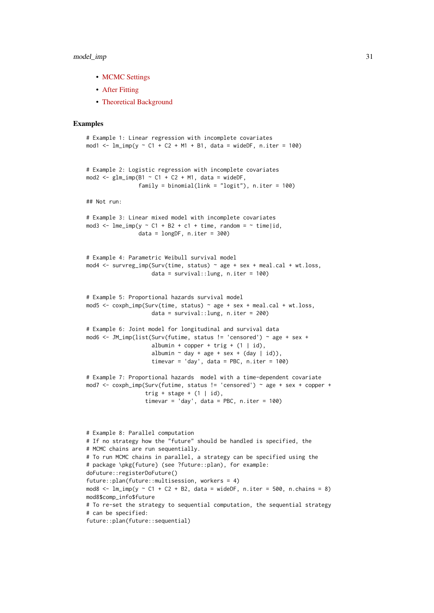#### model\_imp 31

- [MCMC Settings](https://nerler.github.io/JointAI/articles/MCMCsettings.html)
- [After Fitting](https://nerler.github.io/JointAI/articles/AfterFitting.html)
- [Theoretical Background](https://nerler.github.io/JointAI/articles/TheoreticalBackground.html)

#### Examples

```
# Example 1: Linear regression with incomplete covariates
mod1 <- lm\{imp}(y \sim C1 + C2 + M1 + B1, data = wideDF, n.iter = 100)
# Example 2: Logistic regression with incomplete covariates
mod2 <- glm\_imp(B1 \sim C1 + C2 + M1, data = wideDF,
                family = binomial(link = "logit"), n.iter = 100)## Not run:
# Example 3: Linear mixed model with incomplete covariates
mod3 <- lme_imp(y ~ C1 + B2 + c1 + time, random = ~ time|id,
                data = longDF, n.iter = 300# Example 4: Parametric Weibull survival model
mod4 <- survreg_imp(Surv(time, status) ~ age + sex + meal.cal + wt.loss,
                    data = survival::lung, n.iter = 100)
# Example 5: Proportional hazards survival model
mod5 <- coxph_imp(Surv(time, status) ~ age + sex + meal.cal + wt.loss,
                    data = survival::lung, n.iter = 200)
# Example 6: Joint model for longitudinal and survival data
mod6 <- JM_imp(list(Surv(futime, status != 'censored') ~ age + sex +
                    albumin + copper + trig + (1 | id),
                    albumin \sim day + age + sex + (day | id)),
                    timevar = 'day', data = PBC, n.iter = 100)# Example 7: Proportional hazards model with a time-dependent covariate
mod7 <- coxph_imp(Surv(futime, status != 'censored') ~ age + sex + copper +
                  trig + stage + (1 | id),
                  timevar = 'day', data = PBC, n.iter = 100)
# Example 8: Parallel computation
# If no strategy how the "future" should be handled is specified, the
# MCMC chains are run sequentially.
# To run MCMC chains in parallel, a strategy can be specified using the
```
# package \pkg{future} (see ?future::plan), for example: doFuture::registerDoFuture() future::plan(future::multisession, workers = 4) mod8  $\leftarrow$  lm\_imp(y  $\sim$  C1 + C2 + B2, data = wideDF, n.iter = 500, n.chains = 8) mod8\$comp\_info\$future # To re-set the strategy to sequential computation, the sequential strategy # can be specified: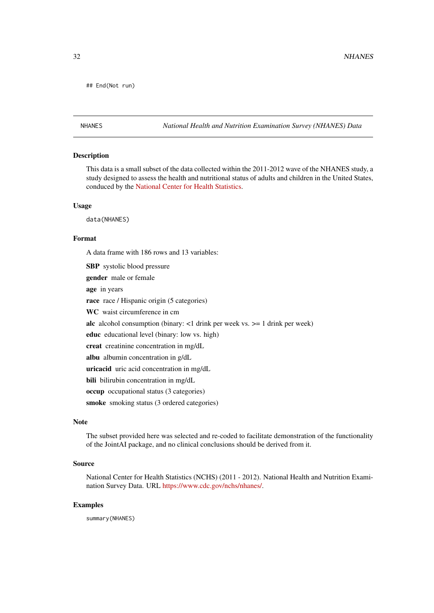```
## End(Not run)
```
NHANES *National Health and Nutrition Examination Survey (NHANES) Data*

### Description

This data is a small subset of the data collected within the 2011-2012 wave of the NHANES study, a study designed to assess the health and nutritional status of adults and children in the United States, conduced by the [National Center for Health Statistics.](https://www.cdc.gov/nchs/)

#### Usage

data(NHANES)

#### Format

A data frame with 186 rows and 13 variables:

SBP systolic blood pressure gender male or female age in years race race / Hispanic origin (5 categories) WC waist circumference in cm alc alcohol consumption (binary: <1 drink per week vs. >= 1 drink per week) educ educational level (binary: low vs. high) creat creatinine concentration in mg/dL albu albumin concentration in g/dL uricacid uric acid concentration in mg/dL bili bilirubin concentration in mg/dL occup occupational status (3 categories) smoke smoking status (3 ordered categories)

#### Note

The subset provided here was selected and re-coded to facilitate demonstration of the functionality of the JointAI package, and no clinical conclusions should be derived from it.

### Source

National Center for Health Statistics (NCHS) (2011 - 2012). National Health and Nutrition Examination Survey Data. URL [https://www.cdc.gov/nchs/nhanes/.](https://www.cdc.gov/nchs/nhanes/)

### Examples

summary(NHANES)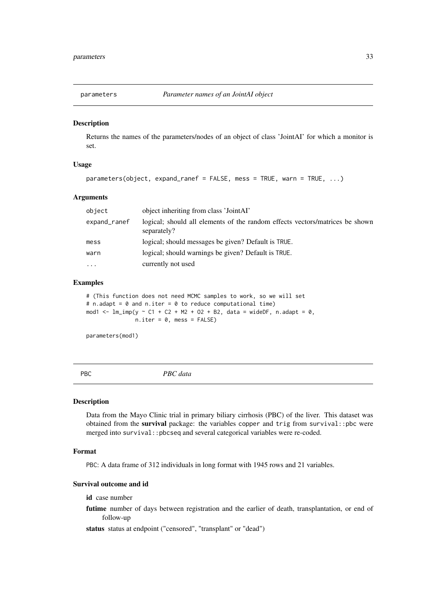<span id="page-32-1"></span><span id="page-32-0"></span>

### Description

Returns the names of the parameters/nodes of an object of class 'JointAI' for which a monitor is set.

#### Usage

```
parameters(object, expand_ranef = FALSE, mess = TRUE, warn = TRUE, ...)
```
#### Arguments

| object       | object inheriting from class 'JointAI'                                                      |
|--------------|---------------------------------------------------------------------------------------------|
| expand_ranef | logical; should all elements of the random effects vectors/matrices be shown<br>separately? |
| mess         | logical; should messages be given? Default is TRUE.                                         |
| warn         | logical; should warnings be given? Default is TRUE.                                         |
| $\cdots$     | currently not used                                                                          |

### Examples

# (This function does not need MCMC samples to work, so we will set # n.adapt =  $\theta$  and n.iter =  $\theta$  to reduce computational time) mod1 <-  $lm\text{-}imp(y \sim C1 + C2 + M2 + 02 + B2$ , data = wideDF, n.adapt = 0,  $n.iter = 0$ , mess = FALSE)

parameters(mod1)

PBC *PBC data*

### Description

Data from the Mayo Clinic trial in primary biliary cirrhosis (PBC) of the liver. This dataset was obtained from the survival package: the variables copper and trig from survival::pbc were merged into survival::pbcseq and several categorical variables were re-coded.

### Format

PBC: A data frame of 312 individuals in long format with 1945 rows and 21 variables.

#### Survival outcome and id

id case number

futime number of days between registration and the earlier of death, transplantation, or end of follow-up

status status at endpoint ("censored", "transplant" or "dead")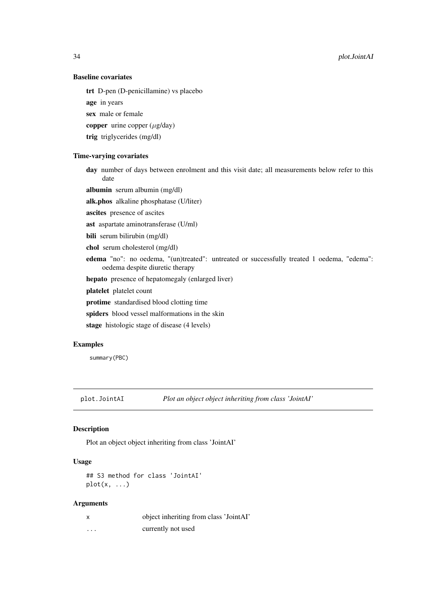<span id="page-33-0"></span>34 plot.JointAI

### Baseline covariates

trt D-pen (D-penicillamine) vs placebo

age in years

sex male or female

copper urine copper  $(\mu$ g/day)

trig triglycerides (mg/dl)

### Time-varying covariates

day number of days between enrolment and this visit date; all measurements below refer to this date

albumin serum albumin (mg/dl)

alk.phos alkaline phosphatase (U/liter)

ascites presence of ascites

ast aspartate aminotransferase (U/ml)

bili serum bilirubin (mg/dl)

chol serum cholesterol (mg/dl)

- edema "no": no oedema, "(un)treated": untreated or successfully treated 1 oedema, "edema": oedema despite diuretic therapy
- hepato presence of hepatomegaly (enlarged liver)

platelet platelet count

protime standardised blood clotting time

spiders blood vessel malformations in the skin

stage histologic stage of disease (4 levels)

#### Examples

summary(PBC)

plot.JointAI *Plot an object object inheriting from class 'JointAI'*

### Description

Plot an object object inheriting from class 'JointAI'

### Usage

```
## S3 method for class 'JointAI'
plot(x, \ldots)
```
### Arguments

|   | object inheriting from class 'JointAI' |
|---|----------------------------------------|
| . | currently not used                     |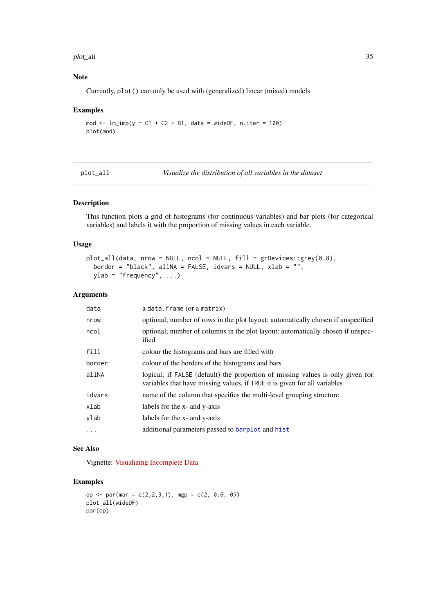#### <span id="page-34-0"></span>plot\_all 35

### Note

Currently, plot() can only be used with (generalized) linear (mixed) models.

### Examples

```
mod \le - lm\_imp(y \sim C1 + C2 + B1, data = wideDF, n.iter = 100)
plot(mod)
```
<span id="page-34-1"></span>plot\_all *Visualize the distribution of all variables in the dataset*

### Description

This function plots a grid of histograms (for continuous variables) and bar plots (for categorical variables) and labels it with the proportion of missing values in each variable.

### Usage

```
plot_all(data, nrow = NULL, ncol = NULL, fill = grDevices::grey(0.8),
 border = "black", allNA = FALSE, idvars = NULL, xlab = "",
 ylab = "frequency", ...)
```
### Arguments

| data      | a data. frame (or a matrix)                                                                                                                                 |
|-----------|-------------------------------------------------------------------------------------------------------------------------------------------------------------|
| nrow      | optional; number of rows in the plot layout; automatically chosen if unspecified                                                                            |
| ncol      | optional; number of columns in the plot layout; automatically chosen if unspec-<br>ified                                                                    |
| fill      | colour the histograms and bars are filled with                                                                                                              |
| border    | colour of the borders of the histograms and bars                                                                                                            |
| allNA     | logical; if FALSE (default) the proportion of missing values is only given for<br>variables that have missing values, if TRUE it is given for all variables |
| idvars    | name of the column that specifies the multi-level grouping structure                                                                                        |
| xlab      | labels for the x- and y-axis                                                                                                                                |
| ylab      | labels for the x- and y-axis                                                                                                                                |
| $\ddotsc$ | additional parameters passed to barplot and hist                                                                                                            |
|           |                                                                                                                                                             |

### See Also

Vignette: [Visualizing Incomplete Data](https://nerler.github.io/JointAI/articles/VisualizingIncompleteData.html)

### Examples

```
op <- par(mar = c(2, 2, 3, 1), mgp = c(2, 0.6, 0))
plot_all(wideDF)
par(op)
```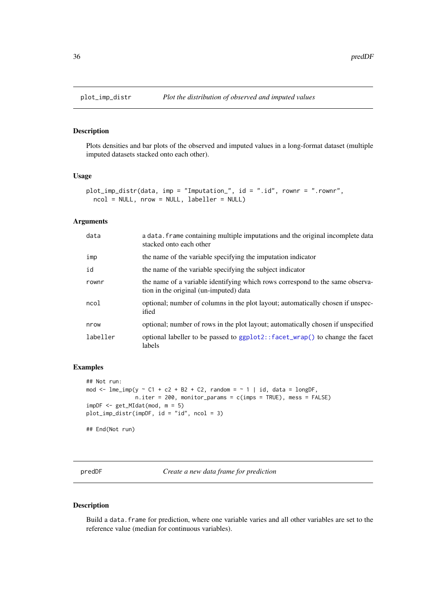<span id="page-35-1"></span><span id="page-35-0"></span>

### Description

Plots densities and bar plots of the observed and imputed values in a long-format dataset (multiple imputed datasets stacked onto each other).

### Usage

```
plot_imp_distr(data, imp = "Imputation_", id = ".id", rownr = ".rownr",
 ncol = NULL, nrow = NULL, labeller = NULL)
```
### Arguments

| data     | a data. frame containing multiple imputations and the original incomplete data<br>stacked onto each other               |
|----------|-------------------------------------------------------------------------------------------------------------------------|
| imp      | the name of the variable specifying the imputation indicator                                                            |
| id       | the name of the variable specifying the subject indicator                                                               |
| rownr    | the name of a variable identifying which rows correspond to the same observa-<br>tion in the original (un-imputed) data |
| ncol     | optional; number of columns in the plot layout; automatically chosen if unspec-<br>ified                                |
| nrow     | optional; number of rows in the plot layout; automatically chosen if unspecified                                        |
| labeller | optional labeller to be passed to ggplot2::facet_wrap() to change the facet<br>labels                                   |

### Examples

```
## Not run:
mod \leq lme_imp(y \sim C1 + c2 + B2 + C2, random = \sim 1 | id, data = longDF,
               n.iter = 200, monitor_params = c(imps = TRUE), mess = FALSE)
impDF < - get_MIdat(mod, m = 5)plot_imp_distr(impDF, id = "id", ncol = 3)
## End(Not run)
```
<span id="page-35-2"></span>predDF *Create a new data frame for prediction*

### <span id="page-35-3"></span>Description

Build a data.frame for prediction, where one variable varies and all other variables are set to the reference value (median for continuous variables).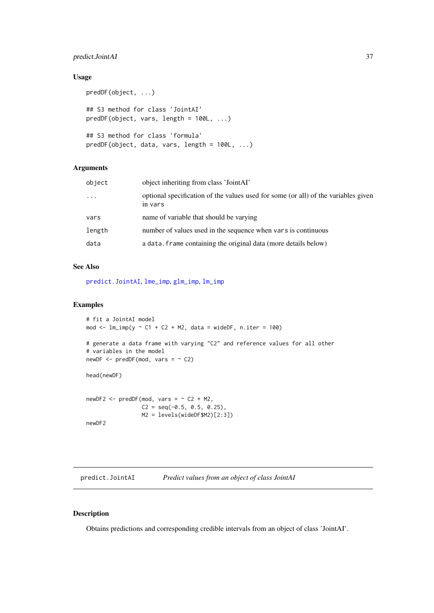#### <span id="page-36-0"></span>predict.JointAI 37

### Usage

```
predDF(object, ...)
## S3 method for class 'JointAI'
predDF(object, vars, length = 100L, ...)
## S3 method for class 'formula'
predDF(object, data, vars, length = 100L, ...)
```
### Arguments

| object   | object inheriting from class 'JointAI'                                                        |
|----------|-----------------------------------------------------------------------------------------------|
| $\ddots$ | optional specification of the values used for some (or all) of the variables given<br>in vars |
| vars     | name of variable that should be varying                                                       |
| length   | number of values used in the sequence when vars is continuous                                 |
| data     | a data. Frame containing the original data (more details below)                               |

### See Also

[predict.JointAI](#page-36-1), [lme\\_imp](#page-19-1), [glm\\_imp](#page-19-1), [lm\\_imp](#page-19-1)

### Examples

```
# fit a JointAI model
mod \le - lm\{imp}(y \sim C1 + C2 + M2, data = wideDF, n.iter = 100)
# generate a data frame with varying "C2" and reference values for all other
# variables in the model
newDF \leq predDF(mod, vars = \sim C2)
head(newDF)
newDF2 \leq - predDF(mod, vars = ~ C2 + M2,C2 = seq(-0.5, 0.5, 0.25),
                  M2 = levels(wideDF$M2)[2:3])
newDF2
```
<span id="page-36-1"></span>predict.JointAI *Predict values from an object of class JointAI*

### Description

Obtains predictions and corresponding credible intervals from an object of class 'JointAI'.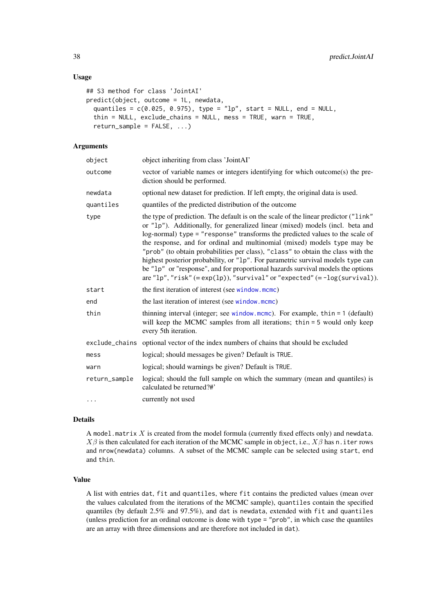#### <span id="page-37-0"></span>Usage

```
## S3 method for class 'JointAI'
predict(object, outcome = 1L, newdata,
  quantiles = c(0.025, 0.975), type = "lp", start = NULL, end = NULL,
  thin = NULL, exclude_chains = NULL, mess = TRUE, warn = TRUE,
 return\_sample = FALSE, ...)
```
### Arguments

| object        | object inheriting from class 'JointAI'                                                                                                                                                                                                                                                                                                                                                                                                                                                                                                                                                                                                                                               |
|---------------|--------------------------------------------------------------------------------------------------------------------------------------------------------------------------------------------------------------------------------------------------------------------------------------------------------------------------------------------------------------------------------------------------------------------------------------------------------------------------------------------------------------------------------------------------------------------------------------------------------------------------------------------------------------------------------------|
| outcome       | vector of variable names or integers identifying for which outcome(s) the pre-<br>diction should be performed.                                                                                                                                                                                                                                                                                                                                                                                                                                                                                                                                                                       |
| newdata       | optional new dataset for prediction. If left empty, the original data is used.                                                                                                                                                                                                                                                                                                                                                                                                                                                                                                                                                                                                       |
| quantiles     | quantiles of the predicted distribution of the outcome                                                                                                                                                                                                                                                                                                                                                                                                                                                                                                                                                                                                                               |
| type          | the type of prediction. The default is on the scale of the linear predictor ("link"<br>or "1p"). Additionally, for generalized linear (mixed) models (incl. beta and<br>log-normal) type = "response" transforms the predicted values to the scale of<br>the response, and for ordinal and multinomial (mixed) models type may be<br>"prob" (to obtain probabilities per class), "class" to obtain the class with the<br>highest posterior probability, or "1p". For parametric survival models type can<br>be "1p" or "response", and for proportional hazards survival models the options<br>are " $lp$ ", "risk" (= exp( $lp$ )), "survival" or "expected" (= $-log(survival)$ ). |
| start         | the first iteration of interest (see window.mcmc)                                                                                                                                                                                                                                                                                                                                                                                                                                                                                                                                                                                                                                    |
| end           | the last iteration of interest (see window.mcmc)                                                                                                                                                                                                                                                                                                                                                                                                                                                                                                                                                                                                                                     |
| thin          | thinning interval (integer; see window.mcmc). For example, thin $= 1$ (default)<br>will keep the MCMC samples from all iterations; thin = 5 would only keep<br>every 5th iteration.                                                                                                                                                                                                                                                                                                                                                                                                                                                                                                  |
|               | exclude_chains optional vector of the index numbers of chains that should be excluded                                                                                                                                                                                                                                                                                                                                                                                                                                                                                                                                                                                                |
| mess          | logical; should messages be given? Default is TRUE.                                                                                                                                                                                                                                                                                                                                                                                                                                                                                                                                                                                                                                  |
| warn          | logical; should warnings be given? Default is TRUE.                                                                                                                                                                                                                                                                                                                                                                                                                                                                                                                                                                                                                                  |
| return_sample | logical; should the full sample on which the summary (mean and quantiles) is<br>calculated be returned?#'                                                                                                                                                                                                                                                                                                                                                                                                                                                                                                                                                                            |
| $\cdots$      | currently not used                                                                                                                                                                                                                                                                                                                                                                                                                                                                                                                                                                                                                                                                   |

### Details

A model.matrix  $X$  is created from the model formula (currently fixed effects only) and newdata.  $X\beta$  is then calculated for each iteration of the MCMC sample in object, i.e.,  $X\beta$  has n. iter rows and nrow(newdata) columns. A subset of the MCMC sample can be selected using start, end and thin.

### Value

A list with entries dat, fit and quantiles, where fit contains the predicted values (mean over the values calculated from the iterations of the MCMC sample), quantiles contain the specified quantiles (by default 2.5% and 97.5%), and dat is newdata, extended with fit and quantiles (unless prediction for an ordinal outcome is done with type = "prob", in which case the quantiles are an array with three dimensions and are therefore not included in dat).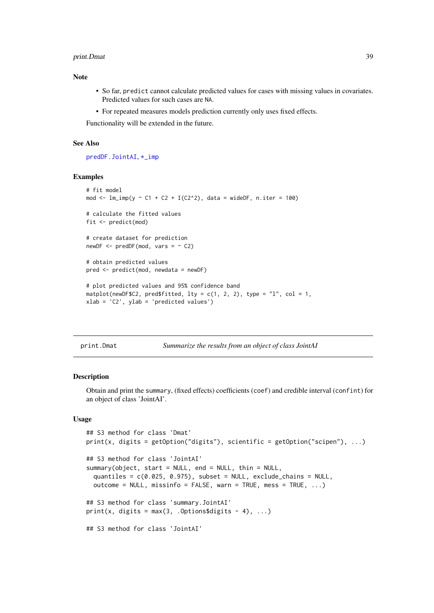#### <span id="page-38-0"></span>print.Dmat 39

### Note

- So far, predict cannot calculate predicted values for cases with missing values in covariates. Predicted values for such cases are NA.
- For repeated measures models prediction currently only uses fixed effects.

Functionality will be extended in the future.

#### See Also

[predDF.JointAI](#page-35-3), [\\*\\_imp](#page-0-0)

#### Examples

```
# fit model
mod \leq lm_imp(y \sim C1 + C2 + I(C2^2), data = wideDF, n.iter = 100)
# calculate the fitted values
fit <- predict(mod)
# create dataset for prediction
newDF \leq predDF(mod, vars = \sim C2)
# obtain predicted values
pred <- predict(mod, newdata = newDF)
# plot predicted values and 95% confidence band
matplot(newDF$C2, pred$fitted, lty = c(1, 2, 2), type = "l", col = 1,
xlab = 'C2', ylab = 'predicted values')
```
print.Dmat *Summarize the results from an object of class JointAI*

#### <span id="page-38-1"></span>Description

Obtain and print the summary, (fixed effects) coefficients (coef) and credible interval (confint) for an object of class 'JointAI'.

### Usage

```
## S3 method for class 'Dmat'
print(x, digits = getOption("digits"), scientific = getOption("scipen"), ...)
## S3 method for class 'JointAI'
summary(object, start = NULL, end = NULL, thin = NULL,
 quantiles = c(0.025, 0.975), subset = NULL, exclude_chains = NULL,
 outcome = NULL, missinfo = FALSE, warn = TRUE, mess = TRUE, ...)
## S3 method for class 'summary.JointAI'
print(x, digits = max(3, .Options$digits - 4), \dots)
## S3 method for class 'JointAI'
```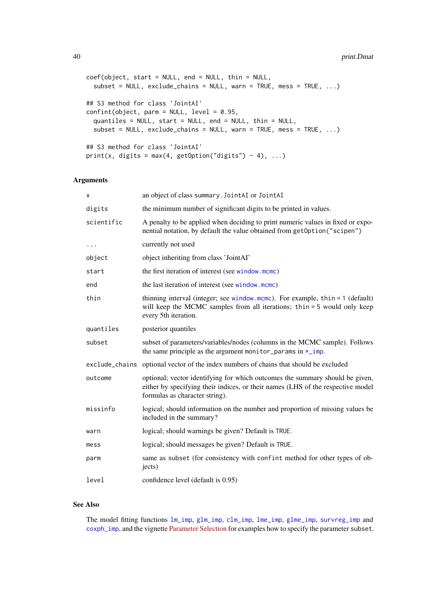```
coef(object, start = NULL, end = NULL, thin = NULL,
  subset = NULL, exclude_chains = NULL, warn = TRUE, mess = TRUE, ...)
## S3 method for class 'JointAI'
confint(object, parm = NULL, level = 0.95,quantiles = NULL, start = NULL, end = NULL, thin = NULL,
  subset = NULL, exclude_chains = NULL, warn = TRUE, mess = TRUE, ...)
## S3 method for class 'JointAI'
print(x, digits = max(4, getOption("digits") - 4), ...)
```
### Arguments

| х          | an object of class summary. JointAI or JointAI                                                                                                                                                    |
|------------|---------------------------------------------------------------------------------------------------------------------------------------------------------------------------------------------------|
| digits     | the minimum number of significant digits to be printed in values.                                                                                                                                 |
| scientific | A penalty to be applied when deciding to print numeric values in fixed or expo-<br>nential notation, by default the value obtained from getOption("scipen")                                       |
| $\cdots$   | currently not used                                                                                                                                                                                |
| object     | object inheriting from class 'JointAI'                                                                                                                                                            |
| start      | the first iteration of interest (see window.mcmc)                                                                                                                                                 |
| end        | the last iteration of interest (see window.mcmc)                                                                                                                                                  |
| thin       | thinning interval (integer; see window mcmc). For example, thin $= 1$ (default)<br>will keep the MCMC samples from all iterations; thin = 5 would only keep<br>every 5th iteration.               |
| quantiles  | posterior quantiles                                                                                                                                                                               |
| subset     | subset of parameters/variables/nodes (columns in the MCMC sample). Follows<br>the same principle as the argument monitor_params in $\star$ _imp.                                                  |
|            | exclude_chains optional vector of the index numbers of chains that should be excluded                                                                                                             |
| outcome    | optional; vector identifying for which outcomes the summary should be given,<br>either by specifying their indices, or their names (LHS of the respective model<br>formulas as character string). |
| missinfo   | logical; should information on the number and proportion of missing values be<br>included in the summary?                                                                                         |
| warn       | logical; should warnings be given? Default is TRUE.                                                                                                                                               |
| mess       | logical; should messages be given? Default is TRUE.                                                                                                                                               |
| parm       | same as subset (for consistency with confint method for other types of ob-<br>jects)                                                                                                              |
| level      | confidence level (default is 0.95)                                                                                                                                                                |

### See Also

The model fitting functions [lm\\_imp](#page-19-1), [glm\\_imp](#page-19-1), [clm\\_imp](#page-19-1), [lme\\_imp](#page-19-1), [glme\\_imp](#page-19-1), [survreg\\_imp](#page-19-1) and [coxph\\_imp](#page-19-1), and the vignette [Parameter Selection](https://nerler.github.io/JointAI/articles/SelectingParameters.html) for examples how to specify the parameter subset.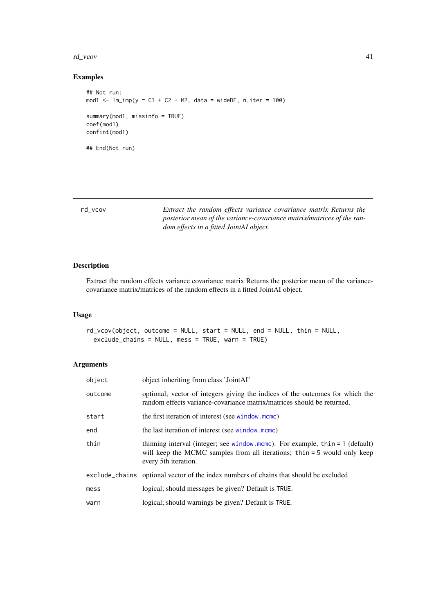#### <span id="page-40-0"></span>rd\_vcov 41

### Examples

```
## Not run:
mod1 <- lm\text{-}imp(y \sim C1 + C2 + M2, data = wideDF, n.iter = 100)
summary(mod1, missinfo = TRUE)
coef(mod1)
confint(mod1)
## End(Not run)
```

| rd vcov | Extract the random effects variance covariance matrix Returns the     |
|---------|-----------------------------------------------------------------------|
|         | posterior mean of the variance-covariance matrix/matrices of the ran- |
|         | dom effects in a fitted JointAI object.                               |
|         |                                                                       |

### Description

Extract the random effects variance covariance matrix Returns the posterior mean of the variancecovariance matrix/matrices of the random effects in a fitted JointAI object.

### Usage

```
rd_vcov(object, outcome = NULL, start = NULL, end = NULL, thin = NULL,
 exclude_chains = NULL, mess = TRUE, warn = TRUE)
```
### Arguments

| object  | object inheriting from class 'JointAI'                                                                                                                                              |
|---------|-------------------------------------------------------------------------------------------------------------------------------------------------------------------------------------|
| outcome | optional; vector of integers giving the indices of the outcomes for which the<br>random effects variance-covariance matrix/matrices should be returned.                             |
| start   | the first iteration of interest (see window.mcmc)                                                                                                                                   |
| end     | the last iteration of interest (see window.mcmc)                                                                                                                                    |
| thin    | thinning interval (integer; see window mcmc). For example, thin $= 1$ (default)<br>will keep the MCMC samples from all iterations; thin = 5 would only keep<br>every 5th iteration. |
|         | exclude_chains optional vector of the index numbers of chains that should be excluded                                                                                               |
| mess    | logical; should messages be given? Default is TRUE.                                                                                                                                 |
| warn    | logical; should warnings be given? Default is TRUE.                                                                                                                                 |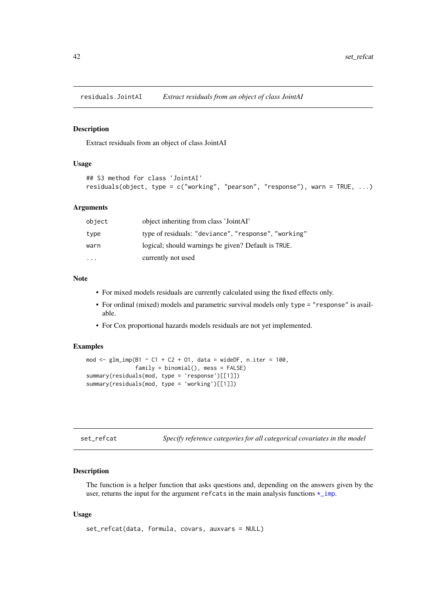<span id="page-41-0"></span>residuals.JointAI *Extract residuals from an object of class JointAI*

#### Description

Extract residuals from an object of class JointAI

### Usage

```
## S3 method for class 'JointAI'
residuals(object, type = c("working", "pearson", "response"), warn = TRUE, ...)
```
### Arguments

| object                  | object inheriting from class 'JointAI'               |
|-------------------------|------------------------------------------------------|
| type                    | type of residuals: "deviance", "response", "working" |
| warn                    | logical; should warnings be given? Default is TRUE.  |
| $\cdot$ $\cdot$ $\cdot$ | currently not used                                   |

#### Note

- For mixed models residuals are currently calculated using the fixed effects only.
- For ordinal (mixed) models and parametric survival models only type = "response" is available.
- For Cox proportional hazards models residuals are not yet implemented.

### Examples

```
mod \leq glm_imp(B1 \sim C1 + C2 + 01, data = wideDF, n.iter = 100,
               family = binomial(), mess = FALSE)
summary(residuals(mod, type = 'response')[[1]])
summary(residuals(mod, type = 'working')[[1]])
```
<span id="page-41-1"></span>

| set_refcat |  |  |  | Specify reference categories for all categorical covariates in the model |
|------------|--|--|--|--------------------------------------------------------------------------|
|------------|--|--|--|--------------------------------------------------------------------------|

### Description

The function is a helper function that asks questions and, depending on the answers given by the user, returns the input for the argument refcats in the main analysis functions  $\star$ \_imp.

### Usage

```
set_refcat(data, formula, covars, auxvars = NULL)
```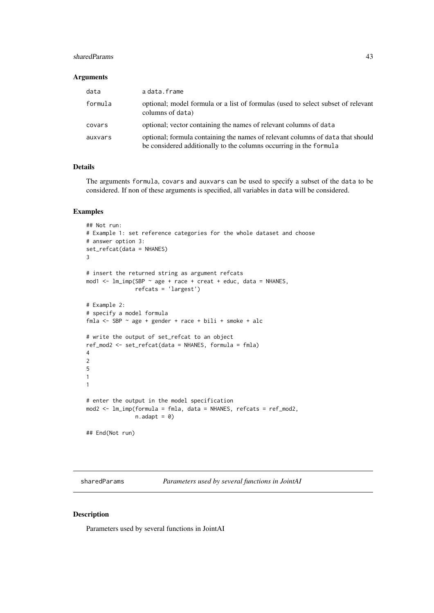#### <span id="page-42-0"></span>sharedParams 43

### Arguments

| data    | a data.frame                                                                                                                                         |
|---------|------------------------------------------------------------------------------------------------------------------------------------------------------|
| formula | optional; model formula or a list of formulas (used to select subset of relevant<br>columns of data)                                                 |
| covars  | optional; vector containing the names of relevant columns of data                                                                                    |
| auxvars | optional; formula containing the names of relevant columns of data that should<br>be considered additionally to the columns occurring in the formula |

### Details

The arguments formula, covars and auxvars can be used to specify a subset of the data to be considered. If non of these arguments is specified, all variables in data will be considered.

#### Examples

```
## Not run:
# Example 1: set reference categories for the whole dataset and choose
# answer option 3:
set_refcat(data = NHANES)
3
# insert the returned string as argument refcats
mod1 <- lm_imp(SBP ~ age + race + creat + educ, data = NHANES,
              refcats = 'largest')
# Example 2:
# specify a model formula
fmla <- SBP \sim age + gender + race + bili + smoke + alc
# write the output of set_refcat to an object
ref_mod2 <- set_refcat(data = NHANES, formula = fmla)
4
2
5
1
1
# enter the output in the model specification
mod2 <- lm_imp(formula = fmla, data = NHANES, refcats = ref_mod2,
               n.addapt = 0)## End(Not run)
```
sharedParams *Parameters used by several functions in JointAI*

#### Description

Parameters used by several functions in JointAI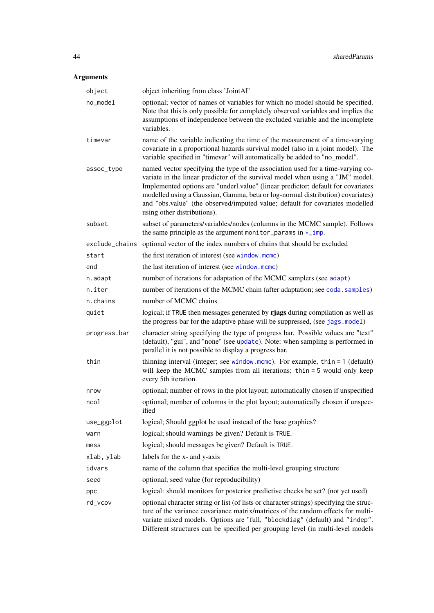## <span id="page-43-0"></span>Arguments

| object       | object inheriting from class 'JointAI'                                                                                                                                                                                                                                                                                                                                                                                                                 |
|--------------|--------------------------------------------------------------------------------------------------------------------------------------------------------------------------------------------------------------------------------------------------------------------------------------------------------------------------------------------------------------------------------------------------------------------------------------------------------|
| no_model     | optional; vector of names of variables for which no model should be specified.<br>Note that this is only possible for completely observed variables and implies the<br>assumptions of independence between the excluded variable and the incomplete<br>variables.                                                                                                                                                                                      |
| timevar      | name of the variable indicating the time of the measurement of a time-varying<br>covariate in a proportional hazards survival model (also in a joint model). The<br>variable specified in "timevar" will automatically be added to "no_model".                                                                                                                                                                                                         |
| assoc_type   | named vector specifying the type of the association used for a time-varying co-<br>variate in the linear predictor of the survival model when using a "JM" model.<br>Implemented options are "underl.value" (linear predictor; default for covariates<br>modelled using a Gaussian, Gamma, beta or log-normal distribution) covariates)<br>and "obs.value" (the observed/imputed value; default for covariates modelled<br>using other distributions). |
| subset       | subset of parameters/variables/nodes (columns in the MCMC sample). Follows<br>the same principle as the argument monitor_params in $\star$ _imp.                                                                                                                                                                                                                                                                                                       |
|              | exclude_chains optional vector of the index numbers of chains that should be excluded                                                                                                                                                                                                                                                                                                                                                                  |
| start        | the first iteration of interest (see window.mcmc)                                                                                                                                                                                                                                                                                                                                                                                                      |
| end          | the last iteration of interest (see window.mcmc)                                                                                                                                                                                                                                                                                                                                                                                                       |
| n.adapt      | number of iterations for adaptation of the MCMC samplers (see adapt)                                                                                                                                                                                                                                                                                                                                                                                   |
| n.iter       | number of iterations of the MCMC chain (after adaptation; see coda. samples)                                                                                                                                                                                                                                                                                                                                                                           |
| n.chains     | number of MCMC chains                                                                                                                                                                                                                                                                                                                                                                                                                                  |
| quiet        | logical; if TRUE then messages generated by rjags during compilation as well as<br>the progress bar for the adaptive phase will be suppressed, (see jags.model)                                                                                                                                                                                                                                                                                        |
| progress.bar | character string specifying the type of progress bar. Possible values are "text"<br>(default), "gui", and "none" (see update). Note: when sampling is performed in<br>parallel it is not possible to display a progress bar.                                                                                                                                                                                                                           |
| thin         | thinning interval (integer; see window.mcmc). For example, thin $= 1$ (default)<br>will keep the MCMC samples from all iterations; thin = 5 would only keep<br>every 5th iteration.                                                                                                                                                                                                                                                                    |
| nrow         | optional; number of rows in the plot layout; automatically chosen if unspecified                                                                                                                                                                                                                                                                                                                                                                       |
| ncol         | optional; number of columns in the plot layout; automatically chosen if unspec-<br>ified                                                                                                                                                                                                                                                                                                                                                               |
| use_ggplot   | logical; Should ggplot be used instead of the base graphics?                                                                                                                                                                                                                                                                                                                                                                                           |
| warn         | logical; should warnings be given? Default is TRUE.                                                                                                                                                                                                                                                                                                                                                                                                    |
| mess         | logical; should messages be given? Default is TRUE.                                                                                                                                                                                                                                                                                                                                                                                                    |
| xlab, ylab   | labels for the x- and y-axis                                                                                                                                                                                                                                                                                                                                                                                                                           |
| idvars       | name of the column that specifies the multi-level grouping structure                                                                                                                                                                                                                                                                                                                                                                                   |
| seed         | optional; seed value (for reproducibility)                                                                                                                                                                                                                                                                                                                                                                                                             |
| ppc          | logical: should monitors for posterior predictive checks be set? (not yet used)                                                                                                                                                                                                                                                                                                                                                                        |
| rd_vcov      | optional character string or list (of lists or character strings) specifying the struc-<br>ture of the variance covariance matrix/matrices of the random effects for multi-<br>variate mixed models. Options are "full, "blockdiag" (default) and "indep".<br>Different structures can be specified per grouping level (in multi-level models                                                                                                          |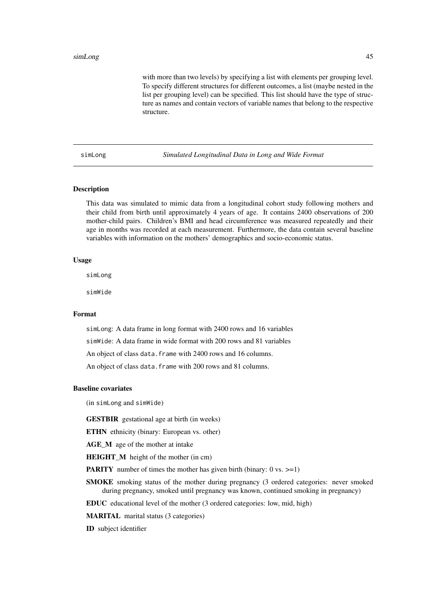<span id="page-44-0"></span>with more than two levels) by specifying a list with elements per grouping level. To specify different structures for different outcomes, a list (maybe nested in the list per grouping level) can be specified. This list should have the type of structure as names and contain vectors of variable names that belong to the respective structure.

simLong *Simulated Longitudinal Data in Long and Wide Format*

### Description

This data was simulated to mimic data from a longitudinal cohort study following mothers and their child from birth until approximately 4 years of age. It contains 2400 observations of 200 mother-child pairs. Children's BMI and head circumference was measured repeatedly and their age in months was recorded at each measurement. Furthermore, the data contain several baseline variables with information on the mothers' demographics and socio-economic status.

### Usage

simLong

simWide

### Format

simLong: A data frame in long format with 2400 rows and 16 variables simWide: A data frame in wide format with 200 rows and 81 variables An object of class data. frame with 2400 rows and 16 columns. An object of class data. frame with 200 rows and 81 columns.

### Baseline covariates

(in simLong and simWide)

GESTBIR gestational age at birth (in weeks)

ETHN ethnicity (binary: European vs. other)

AGE\_M age of the mother at intake

HEIGHT\_M height of the mother (in cm)

**PARITY** number of times the mother has given birth (binary:  $0 \text{ vs. } \geq 1$ )

SMOKE smoking status of the mother during pregnancy (3 ordered categories: never smoked during pregnancy, smoked until pregnancy was known, continued smoking in pregnancy)

EDUC educational level of the mother (3 ordered categories: low, mid, high)

MARITAL marital status (3 categories)

ID subject identifier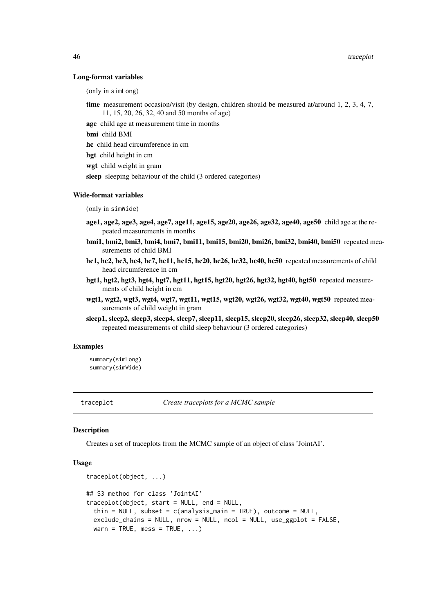#### Long-format variables

(only in simLong)

time measurement occasion/visit (by design, children should be measured at/around 1, 2, 3, 4, 7, 11, 15, 20, 26, 32, 40 and 50 months of age)

age child age at measurement time in months

bmi child BMI

hc child head circumference in cm

hgt child height in cm

wgt child weight in gram

sleep sleeping behaviour of the child (3 ordered categories)

#### Wide-format variables

(only in simWide)

- age1, age2, age3, age4, age7, age11, age15, age20, age26, age32, age40, age50 child age at the repeated measurements in months
- bmi1, bmi2, bmi3, bmi4, bmi7, bmi11, bmi15, bmi20, bmi26, bmi32, bmi40, bmi50 repeated measurements of child BMI
- hc1, hc2, hc3, hc4, hc7, hc11, hc15, hc20, hc26, hc32, hc40, hc50 repeated measurements of child head circumference in cm
- hgt1, hgt2, hgt3, hgt4, hgt7, hgt11, hgt15, hgt20, hgt26, hgt32, hgt40, hgt50 repeated measurements of child height in cm
- wgt1, wgt2, wgt3, wgt4, wgt7, wgt11, wgt15, wgt20, wgt26, wgt32, wgt40, wgt50 repeated measurements of child weight in gram
- sleep1, sleep2, sleep3, sleep4, sleep7, sleep11, sleep15, sleep20, sleep26, sleep32, sleep40, sleep50 repeated measurements of child sleep behaviour (3 ordered categories)

#### Examples

summary(simLong) summary(simWide)

<span id="page-45-1"></span>traceplot *Create traceplots for a MCMC sample*

#### Description

Creates a set of traceplots from the MCMC sample of an object of class 'JointAI'.

### Usage

```
traceplot(object, ...)
## S3 method for class 'JointAI'
traceplot(object, start = NULL, end = NULL,
  thin = NULL, subset = c(analysis_main = TRUE), outcome = NULL,
  exclude_chains = NULL, nrow = NULL, ncol = NULL, use_ggplot = FALSE,
 warn = TRUE, mess = TRUE, \ldots)
```
<span id="page-45-0"></span>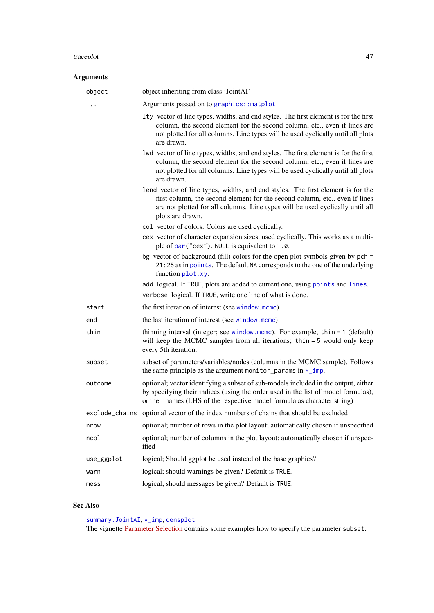#### <span id="page-46-0"></span>traceplot 47

| <b>Arguments</b> |                                                                                                                                                                                                                                                                     |
|------------------|---------------------------------------------------------------------------------------------------------------------------------------------------------------------------------------------------------------------------------------------------------------------|
| object           | object inheriting from class 'JointAI'                                                                                                                                                                                                                              |
| .                | Arguments passed on to graphics:: matplot                                                                                                                                                                                                                           |
|                  | Ity vector of line types, widths, and end styles. The first element is for the first<br>column, the second element for the second column, etc., even if lines are<br>not plotted for all columns. Line types will be used cyclically until all plots<br>are drawn.  |
|                  | lwd vector of line types, widths, and end styles. The first element is for the first<br>column, the second element for the second column, etc., even if lines are<br>not plotted for all columns. Line types will be used cyclically until all plots<br>are drawn.  |
|                  | lend vector of line types, widths, and end styles. The first element is for the<br>first column, the second element for the second column, etc., even if lines<br>are not plotted for all columns. Line types will be used cyclically until all<br>plots are drawn. |
|                  | col vector of colors. Colors are used cyclically.                                                                                                                                                                                                                   |
|                  | cex vector of character expansion sizes, used cyclically. This works as a multi-<br>ple of par ("cex"). NULL is equivalent to 1.0.                                                                                                                                  |
|                  | bg vector of background (fill) colors for the open plot symbols given by $pch =$<br>21:25 as in points. The default NA corresponds to the one of the underlying<br>function plot.xy.                                                                                |
|                  | add logical. If TRUE, plots are added to current one, using points and lines.<br>verbose logical. If TRUE, write one line of what is done.                                                                                                                          |
| start            | the first iteration of interest (see window.mcmc)                                                                                                                                                                                                                   |
| end              | the last iteration of interest (see window.mcmc)                                                                                                                                                                                                                    |
| thin             | thinning interval (integer; see window.mcmc). For example, thin = 1 (default)<br>will keep the MCMC samples from all iterations; thin = 5 would only keep<br>every 5th iteration.                                                                                   |
| subset           | subset of parameters/variables/nodes (columns in the MCMC sample). Follows<br>the same principle as the argument monitor_params in $\star$ _imp.                                                                                                                    |
| outcome          | optional; vector identifying a subset of sub-models included in the output, either<br>by specifying their indices (using the order used in the list of model formulas),<br>or their names (LHS of the respective model formula as character string)                 |
| exclude_chains   | optional vector of the index numbers of chains that should be excluded                                                                                                                                                                                              |
| nrow             | optional; number of rows in the plot layout; automatically chosen if unspecified                                                                                                                                                                                    |
| ncol             | optional; number of columns in the plot layout; automatically chosen if unspec-<br>ified                                                                                                                                                                            |
| use_ggplot       | logical; Should ggplot be used instead of the base graphics?                                                                                                                                                                                                        |
| warn             | logical; should warnings be given? Default is TRUE.                                                                                                                                                                                                                 |
| mess             | logical; should messages be given? Default is TRUE.                                                                                                                                                                                                                 |

### See Also

[summary.JointAI](#page-38-1), [\\*\\_imp](#page-0-0), [densplot](#page-5-1) The vignette [Parameter Selection](https://nerler.github.io/JointAI/articles/SelectingParameters.html) contains some examples how to specify the parameter subset.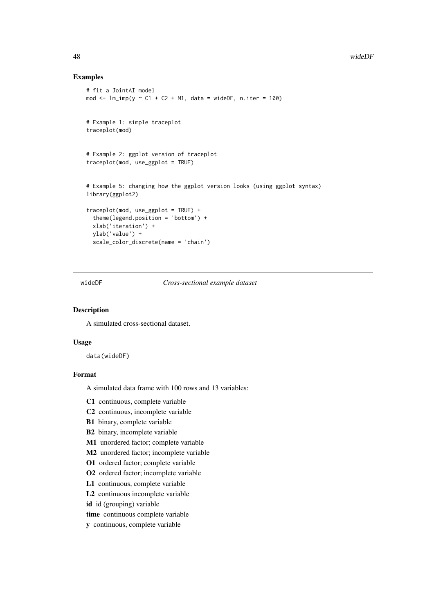### Examples

```
# fit a JointAI model
mod \le - lm\{imp}(y \sim C1 + C2 + M1, data = wideDF, n.iter = 100)
# Example 1: simple traceplot
traceplot(mod)
# Example 2: ggplot version of traceplot
traceplot(mod, use_ggplot = TRUE)
# Example 5: changing how the ggplot version looks (using ggplot syntax)
library(ggplot2)
traceplot(mod, use_ggplot = TRUE) +
  theme(legend.position = 'bottom') +
  xlab('iteration') +
  ylab('value') +
  scale_color_discrete(name = 'chain')
```
wideDF *Cross-sectional example dataset*

#### Description

A simulated cross-sectional dataset.

### Usage

data(wideDF)

### Format

A simulated data frame with 100 rows and 13 variables:

C1 continuous, complete variable

- C2 continuous, incomplete variable
- B1 binary, complete variable
- B2 binary, incomplete variable
- M1 unordered factor; complete variable
- M2 unordered factor; incomplete variable
- O1 ordered factor; complete variable
- O2 ordered factor; incomplete variable
- L1 continuous, complete variable
- L2 continuous incomplete variable
- id id (grouping) variable
- time continuous complete variable
- y continuous, complete variable

<span id="page-47-0"></span>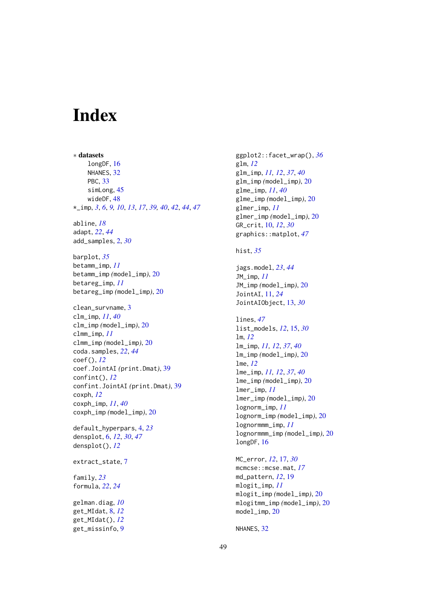# <span id="page-48-0"></span>**Index**

∗ datasets longDF, [16](#page-15-0) NHANES, [32](#page-31-0) PBC, [33](#page-32-0) simLong, [45](#page-44-0) wideDF, [48](#page-47-0) \*\_imp, *[3](#page-2-0)*, *[6](#page-5-0)*, *[9,](#page-8-0) [10](#page-9-0)*, *[13](#page-12-0)*, *[17](#page-16-0)*, *[39,](#page-38-0) [40](#page-39-0)*, *[42](#page-41-0)*, *[44](#page-43-0)*, *[47](#page-46-0)* abline, *[18](#page-17-0)* adapt, *[22](#page-21-0)*, *[44](#page-43-0)* add\_samples, [2,](#page-1-0) *[30](#page-29-0)* barplot, *[35](#page-34-0)* betamm\_imp, *[11](#page-10-0)* betamm\_imp *(*model\_imp*)*, [20](#page-19-0) betareg\_imp, *[11](#page-10-0)* betareg\_imp *(*model\_imp*)*, [20](#page-19-0) clean\_survname, [3](#page-2-0) clm\_imp, *[11](#page-10-0)*, *[40](#page-39-0)* clm\_imp *(*model\_imp*)*, [20](#page-19-0) clmm\_imp, *[11](#page-10-0)* clmm\_imp *(*model\_imp*)*, [20](#page-19-0) coda.samples, *[22](#page-21-0)*, *[44](#page-43-0)* coef(), *[12](#page-11-0)* coef.JointAI *(*print.Dmat*)*, [39](#page-38-0) confint(), *[12](#page-11-0)* confint.JointAI *(*print.Dmat*)*, [39](#page-38-0) coxph, *[12](#page-11-0)* coxph\_imp, *[11](#page-10-0)*, *[40](#page-39-0)* coxph\_imp *(*model\_imp*)*, [20](#page-19-0) default\_hyperpars, [4,](#page-3-0) *[23](#page-22-0)* densplot, [6,](#page-5-0) *[12](#page-11-0)*, *[30](#page-29-0)*, *[47](#page-46-0)* densplot(), *[12](#page-11-0)* extract\_state, [7](#page-6-0) family, *[23](#page-22-0)* formula, *[22](#page-21-0)*, *[24](#page-23-0)* gelman.diag, *[10](#page-9-0)* get\_MIdat, [8,](#page-7-0) *[12](#page-11-0)* get\_MIdat(), *[12](#page-11-0)*

get\_missinfo, [9](#page-8-0)

ggplot2::facet\_wrap(), *[36](#page-35-0)* glm, *[12](#page-11-0)* glm\_imp, *[11,](#page-10-0) [12](#page-11-0)*, *[37](#page-36-0)*, *[40](#page-39-0)* glm\_imp *(*model\_imp*)*, [20](#page-19-0) glme\_imp, *[11](#page-10-0)*, *[40](#page-39-0)* glme\_imp *(*model\_imp*)*, [20](#page-19-0) glmer\_imp, *[11](#page-10-0)* glmer\_imp *(*model\_imp*)*, [20](#page-19-0) GR\_crit, [10,](#page-9-0) *[12](#page-11-0)*, *[30](#page-29-0)* graphics::matplot, *[47](#page-46-0)* hist, *[35](#page-34-0)* jags.model, *[23](#page-22-0)*, *[44](#page-43-0)* JM\_imp, *[11](#page-10-0)* JM\_imp *(*model\_imp*)*, [20](#page-19-0) JointAI, [11,](#page-10-0) *[24](#page-23-0)* JointAIObject, [13,](#page-12-0) *[30](#page-29-0)* lines, *[47](#page-46-0)* list\_models, *[12](#page-11-0)*, [15,](#page-14-0) *[30](#page-29-0)* lm, *[12](#page-11-0)* lm\_imp, *[11,](#page-10-0) [12](#page-11-0)*, *[37](#page-36-0)*, *[40](#page-39-0)* lm\_imp *(*model\_imp*)*, [20](#page-19-0) lme, *[12](#page-11-0)* lme\_imp, *[11,](#page-10-0) [12](#page-11-0)*, *[37](#page-36-0)*, *[40](#page-39-0)* lme\_imp *(*model\_imp*)*, [20](#page-19-0) lmer\_imp, *[11](#page-10-0)* lmer\_imp *(*model\_imp*)*, [20](#page-19-0) lognorm\_imp, *[11](#page-10-0)* lognorm\_imp *(*model\_imp*)*, [20](#page-19-0) lognormmm\_imp, *[11](#page-10-0)* lognormmm\_imp *(*model\_imp*)*, [20](#page-19-0) longDF, [16](#page-15-0) MC\_error, *[12](#page-11-0)*, [17,](#page-16-0) *[30](#page-29-0)* mcmcse::mcse.mat, *[17](#page-16-0)* md\_pattern, *[12](#page-11-0)*, [19](#page-18-0) mlogit\_imp, *[11](#page-10-0)* mlogit\_imp *(*model\_imp*)*, [20](#page-19-0)

model\_imp, [20](#page-19-0)

mlogitmm\_imp *(*model\_imp*)*, [20](#page-19-0)

NHANES, [32](#page-31-0)